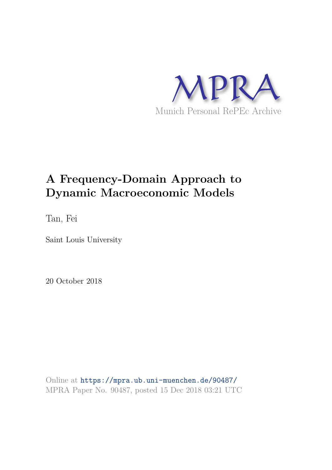

# **A Frequency-Domain Approach to Dynamic Macroeconomic Models**

Tan, Fei

Saint Louis University

20 October 2018

Online at https://mpra.ub.uni-muenchen.de/90487/ MPRA Paper No. 90487, posted 15 Dec 2018 03:21 UTC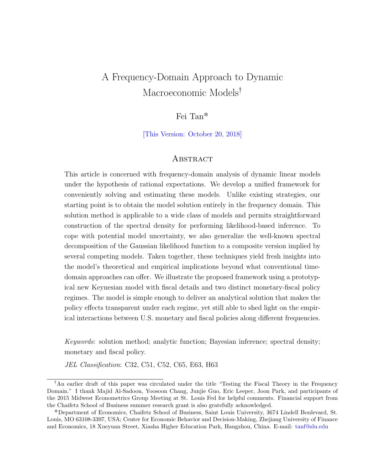# A Frequency-Domain Approach to Dynamic Macroeconomic Models<sup>†</sup>

# Fei Tan˚

[This Version: October 20, 2018]

#### **ABSTRACT**

This article is concerned with frequency-domain analysis of dynamic linear models under the hypothesis of rational expectations. We develop a unified framework for conveniently solving and estimating these models. Unlike existing strategies, our starting point is to obtain the model solution entirely in the frequency domain. This solution method is applicable to a wide class of models and permits straightforward construction of the spectral density for performing likelihood-based inference. To cope with potential model uncertainty, we also generalize the well-known spectral decomposition of the Gaussian likelihood function to a composite version implied by several competing models. Taken together, these techniques yield fresh insights into the model's theoretical and empirical implications beyond what conventional timedomain approaches can offer. We illustrate the proposed framework using a prototypical new Keynesian model with fiscal details and two distinct monetary-fiscal policy regimes. The model is simple enough to deliver an analytical solution that makes the policy effects transparent under each regime, yet still able to shed light on the empirical interactions between U.S. monetary and fiscal policies along different frequencies.

Keywords: solution method; analytic function; Bayesian inference; spectral density; monetary and fiscal policy.

JEL Classification: C32, C51, C52, C65, E63, H63

<sup>&</sup>lt;sup>†</sup>An earlier draft of this paper was circulated under the title "Testing the Fiscal Theory in the Frequency Domain." I thank Majid Al-Sadoon, Yoosoon Chang, Junjie Guo, Eric Leeper, Joon Park, and participants of the 2015 Midwest Econometrics Group Meeting at St. Louis Fed for helpful comments. Financial support from the Chaifetz School of Business summer research grant is also gratefully acknowledged.

<sup>˚</sup>Department of Economics, Chaifetz School of Business, Saint Louis University, 3674 Lindell Boulevard, St. Louis, MO 63108-3397, USA; Center for Economic Behavior and Decision-Making, Zhejiang University of Finance and Economics, 18 Xueyuan Street, Xiasha Higher Education Park, Hangzhou, China. E-mail: tanf@slu.edu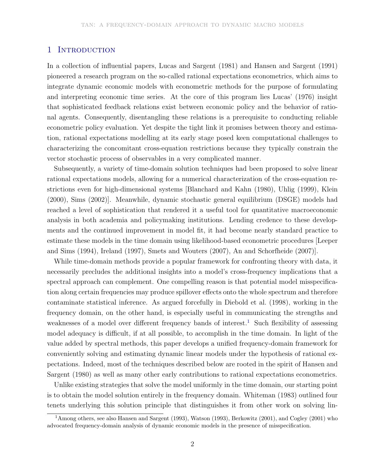#### 1 INTRODUCTION

In a collection of influential papers, Lucas and Sargent (1981) and Hansen and Sargent (1991) pioneered a research program on the so-called rational expectations econometrics, which aims to integrate dynamic economic models with econometric methods for the purpose of formulating and interpreting economic time series. At the core of this program lies Lucas' (1976) insight that sophisticated feedback relations exist between economic policy and the behavior of rational agents. Consequently, disentangling these relations is a prerequisite to conducting reliable econometric policy evaluation. Yet despite the tight link it promises between theory and estimation, rational expectations modelling at its early stage posed keen computational challenges to characterizing the concomitant cross-equation restrictions because they typically constrain the vector stochastic process of observables in a very complicated manner.

Subsequently, a variety of time-domain solution techniques had been proposed to solve linear rational expectations models, allowing for a numerical characterization of the cross-equation restrictions even for high-dimensional systems [Blanchard and Kahn (1980), Uhlig (1999), Klein (2000), Sims (2002)]. Meanwhile, dynamic stochastic general equilibrium (DSGE) models had reached a level of sophistication that rendered it a useful tool for quantitative macroeconomic analysis in both academia and policymaking institutions. Lending credence to these developments and the continued improvement in model fit, it had become nearly standard practice to estimate these models in the time domain using likelihood-based econometric procedures [Leeper and Sims (1994), Ireland (1997), Smets and Wouters (2007), An and Schorfheide (2007)].

While time-domain methods provide a popular framework for confronting theory with data, it necessarily precludes the additional insights into a model's cross-frequency implications that a spectral approach can complement. One compelling reason is that potential model misspecification along certain frequencies may produce spillover effects onto the whole spectrum and therefore contaminate statistical inference. As argued forcefully in Diebold et al. (1998), working in the frequency domain, on the other hand, is especially useful in communicating the strengths and weaknesses of a model over different frequency bands of interest.<sup>1</sup> Such flexibility of assessing model adequacy is difficult, if at all possible, to accomplish in the time domain. In light of the value added by spectral methods, this paper develops a unified frequency-domain framework for conveniently solving and estimating dynamic linear models under the hypothesis of rational expectations. Indeed, most of the techniques described below are rooted in the spirit of Hansen and Sargent (1980) as well as many other early contributions to rational expectations econometrics.

Unlike existing strategies that solve the model uniformly in the time domain, our starting point is to obtain the model solution entirely in the frequency domain. Whiteman (1983) outlined four tenets underlying this solution principle that distinguishes it from other work on solving lin-

<sup>&</sup>lt;sup>1</sup>Among others, see also Hansen and Sargent (1993), Watson (1993), Berkowitz (2001), and Cogley (2001) who advocated frequency-domain analysis of dynamic economic models in the presence of misspecification.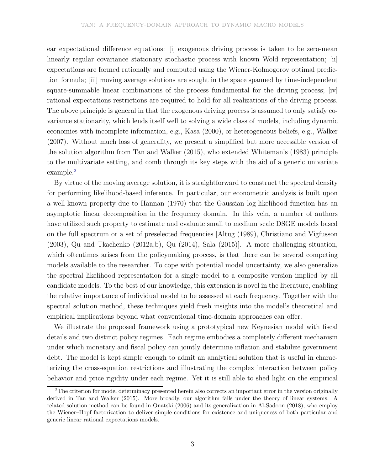ear expectational difference equations: [i] exogenous driving process is taken to be zero-mean linearly regular covariance stationary stochastic process with known Wold representation; [ii] expectations are formed rationally and computed using the Wiener-Kolmogorov optimal prediction formula; [iii] moving average solutions are sought in the space spanned by time-independent square-summable linear combinations of the process fundamental for the driving process; [iv] rational expectations restrictions are required to hold for all realizations of the driving process. The above principle is general in that the exogenous driving process is assumed to only satisfy covariance stationarity, which lends itself well to solving a wide class of models, including dynamic economies with incomplete information, e.g., Kasa (2000), or heterogeneous beliefs, e.g., Walker (2007). Without much loss of generality, we present a simplified but more accessible version of the solution algorithm from Tan and Walker (2015), who extended Whiteman's (1983) principle to the multivariate setting, and comb through its key steps with the aid of a generic univariate example.<sup>2</sup>

By virtue of the moving average solution, it is straightforward to construct the spectral density for performing likelihood-based inference. In particular, our econometric analysis is built upon a well-known property due to Hannan (1970) that the Gaussian log-likelihood function has an asymptotic linear decomposition in the frequency domain. In this vein, a number of authors have utilized such property to estimate and evaluate small to medium scale DSGE models based on the full spectrum or a set of preselected frequencies [Altug (1989), Christiano and Vigfusson (2003), Qu and Tkachenko (2012a,b), Qu (2014), Sala (2015)]. A more challenging situation, which oftentimes arises from the policymaking process, is that there can be several competing models available to the researcher. To cope with potential model uncertainty, we also generalize the spectral likelihood representation for a single model to a composite version implied by all candidate models. To the best of our knowledge, this extension is novel in the literature, enabling the relative importance of individual model to be assessed at each frequency. Together with the spectral solution method, these techniques yield fresh insights into the model's theoretical and empirical implications beyond what conventional time-domain approaches can offer.

We illustrate the proposed framework using a prototypical new Keynesian model with fiscal details and two distinct policy regimes. Each regime embodies a completely different mechanism under which monetary and fiscal policy can jointly determine inflation and stabilize government debt. The model is kept simple enough to admit an analytical solution that is useful in characterizing the cross-equation restrictions and illustrating the complex interaction between policy behavior and price rigidity under each regime. Yet it is still able to shed light on the empirical

<sup>&</sup>lt;sup>2</sup>The criterion for model determinacy presented herein also corrects an important error in the version originally derived in Tan and Walker (2015). More broadly, our algorithm falls under the theory of linear systems. A related solution method can be found in Onatski (2006) and its generalization in Al-Sadoon (2018), who employ the Wiener–Hopf factorization to deliver simple conditions for existence and uniqueness of both particular and generic linear rational expectations models.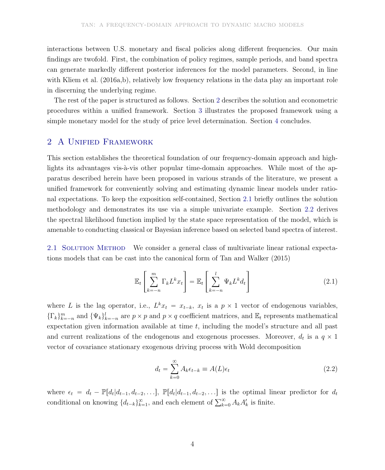interactions between U.S. monetary and fiscal policies along different frequencies. Our main findings are twofold. First, the combination of policy regimes, sample periods, and band spectra can generate markedly different posterior inferences for the model parameters. Second, in line with Kliem et al. (2016a,b), relatively low frequency relations in the data play an important role in discerning the underlying regime.

The rest of the paper is structured as follows. Section 2 describes the solution and econometric procedures within a unified framework. Section 3 illustrates the proposed framework using a simple monetary model for the study of price level determination. Section 4 concludes.

# 2 A Unified Framework

This section establishes the theoretical foundation of our frequency-domain approach and highlights its advantages vis- $\grave{a}$ -vis other popular time-domain approaches. While most of the apparatus described herein have been proposed in various strands of the literature, we present a unified framework for conveniently solving and estimating dynamic linear models under rational expectations. To keep the exposition self-contained, Section 2.1 briefly outlines the solution methodology and demonstrates its use via a simple univariate example. Section 2.2 derives the spectral likelihood function implied by the state space representation of the model, which is amenable to conducting classical or Bayesian inference based on selected band spectra of interest.

2.1 SOLUTION METHOD We consider a general class of multivariate linear rational expectations models that can be cast into the canonical form of Tan and Walker (2015)

$$
\mathbb{E}_t \left[ \sum_{k=-n}^m \Gamma_k L^k x_t \right] = \mathbb{E}_t \left[ \sum_{k=-n}^l \Psi_k L^k d_t \right]
$$
 (2.1)

where L is the lag operator, i.e.,  $L^k x_t = x_{t-k}$ ,  $x_t$  is a  $p \times 1$  vector of endogenous variables,  $\{\Gamma_k\}_{k=-n}^m$  and  $\{\Psi_k\}_{k=-n}^l$  are  $p \times p$  and  $p \times q$  coefficient matrices, and  $\mathbb{E}_t$  represents mathematical expectation given information available at time  $t$ , including the model's structure and all past and current realizations of the endogenous and exogenous processes. Moreover,  $d_t$  is a  $q \times 1$ vector of covariance stationary exogenous driving process with Wold decomposition

$$
d_t = \sum_{k=0}^{\infty} A_k \epsilon_{t-k} \equiv A(L)\epsilon_t
$$
 (2.2)

where  $\epsilon_t = d_t - \mathbb{P}[d_t | d_{t-1}, d_{t-2}, \ldots], \mathbb{P}[d_t | d_{t-1}, d_{t-2}, \ldots]$  is the optimal linear predictor for  $d_t$ conditional on knowing  $\{d_{t-k}\}_{k=1}^{\infty}$ , and each element of  $\sum_{k=0}^{\infty} A_k A'_k$  is finite.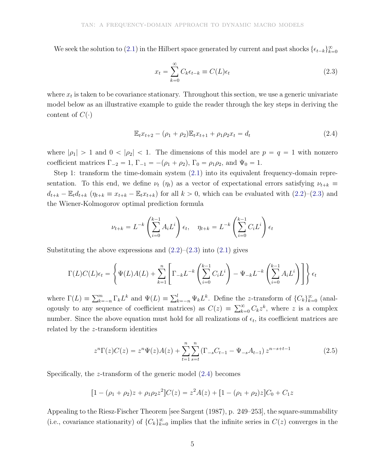We seek the solution to (2.1) in the Hilbert space generated by current and past shocks  $\{\epsilon_{t-k}\}_{k=0}^{\infty}$ 

$$
x_t = \sum_{k=0}^{\infty} C_k \epsilon_{t-k} \equiv C(L)\epsilon_t
$$
\n(2.3)

where  $x_t$  is taken to be covariance stationary. Throughout this section, we use a generic univariate model below as an illustrative example to guide the reader through the key steps in deriving the content of  $C(\cdot)$ 

$$
\mathbb{E}_{t}x_{t+2} - (\rho_1 + \rho_2)\mathbb{E}_{t}x_{t+1} + \rho_1\rho_2x_t = d_t
$$
\n(2.4)

where  $|\rho_1| > 1$  and  $0 < |\rho_2| < 1$ . The dimensions of this model are  $p = q = 1$  with nonzero coefficient matrices  $\Gamma_{-2} = 1, \Gamma_{-1} = -(\rho_1 + \rho_2), \Gamma_0 = \rho_1 \rho_2$ , and  $\Psi_0 = 1$ .

Step 1: transform the time-domain system (2.1) into its equivalent frequency-domain representation. To this end, we define  $\nu_t$  ( $\eta_t$ ) as a vector of expectational errors satisfying  $\nu_{t+k} \equiv$  $d_{t+k} - \mathbb{E}_t d_{t+k}$   $(\eta_{t+k} \equiv x_{t+k} - \mathbb{E}_t x_{t+k})$  for all  $k > 0$ , which can be evaluated with  $(2.2)$ – $(2.3)$  and the Wiener-Kolmogorov optimal prediction formula

$$
\nu_{t+k} = L^{-k} \left( \sum_{i=0}^{k-1} A_i L^i \right) \epsilon_t, \quad \eta_{t+k} = L^{-k} \left( \sum_{i=0}^{k-1} C_i L^i \right) \epsilon_t
$$

Substituting the above expressions and  $(2.2)$ – $(2.3)$  into  $(2.1)$  gives

$$
\Gamma(L)C(L)\epsilon_t = \left\{\Psi(L)A(L) + \sum_{k=1}^n \left[\Gamma_{-k}L^{-k}\left(\sum_{i=0}^{k-1} C_i L^i\right) - \Psi_{-k}L^{-k}\left(\sum_{i=0}^{k-1} A_i L^i\right)\right]\right\}\epsilon_t
$$

where  $\Gamma(L) = \sum_{k=-n}^{m} \Gamma_k L^k$  and  $\Psi(L) = \sum_{k=-n}^{l} \Psi_k L^k$ . Define the z-transform of  $\{C_k\}_{k=0}^{\infty}$  (analogously to any sequence of coefficient matrices) as  $C(z) \equiv \sum_{k=0}^{\infty} C_k z^k$ , where z is a complex number. Since the above equation must hold for all realizations of  $\epsilon_t$ , its coefficient matrices are related by the z-transform identities

$$
z^{n}\Gamma(z)C(z) = z^{n}\Psi(z)A(z) + \sum_{t=1}^{n} \sum_{s=t}^{n} \left(\Gamma_{-s}C_{t-1} - \Psi_{-s}A_{t-1}\right)z^{n-s+t-1}
$$
\n(2.5)

Specifically, the z-transform of the generic model (2.4) becomes

$$
[1 - (\rho_1 + \rho_2)z + \rho_1 \rho_2 z^2]C(z) = z^2 A(z) + [1 - (\rho_1 + \rho_2)z]C_0 + C_1 z
$$

Appealing to the Riesz-Fischer Theorem [see Sargent (1987), p. 249–253], the square-summability (i.e., covariance stationarity) of  $\{C_k\}_{k=0}^{\infty}$  implies that the infinite series in  $C(z)$  converges in the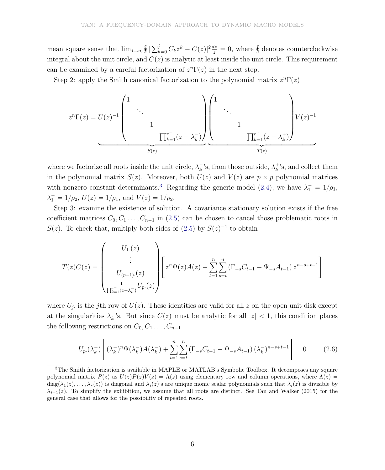mean square sense that  $\lim_{j\to\infty} \int \left| \sum_{k=0}^{j} C_k z^k - C(z) \right|^2 \frac{dz}{z} = 0$ , where  $\oint$  denotes counterclockwise integral about the unit circle, and  $C(z)$  is analytic at least inside the unit circle. This requirement can be examined by a careful factorization of  $z<sup>n</sup>Γ(z)$  in the next step.

Step 2: apply the Smith canonical factorization to the polynomial matrix  $z^n \Gamma(z)$ 

$$
z^{n}\Gamma(z) = U(z)^{-1}\begin{pmatrix}1&&&&\\&\ddots&&&\\&&1&&\\&&&1&\\&&&\Pi_{k=1}^{r^{-}}(z-\lambda_{k}^{-})\end{pmatrix}\begin{pmatrix}1&&&&\\&\ddots&&\\&&1&\\&&&\Pi_{k=1}^{r^{+}}(z-\lambda_{k}^{+})\end{pmatrix}V(z)^{-1}
$$

where we factorize all roots inside the unit circle,  $\lambda_k^ \bar{k}$ 's, from those outside,  $\lambda_k^+$  $k^*$ 's, and collect them in the polynomial matrix  $S(z)$ . Moreover, both  $U(z)$  and  $V(z)$  are  $p \times p$  polynomial matrices with nonzero constant determinants.<sup>3</sup> Regarding the generic model (2.4), we have  $\lambda_1^- = 1/\rho_1$ ,  $\lambda_1^+ = 1/\rho_2$ ,  $U(z) = 1/\rho_1$ , and  $V(z) = 1/\rho_2$ .

Step 3: examine the existence of solution. A covariance stationary solution exists if the free coefficient matrices  $C_0, C_1, \ldots, C_{n-1}$  in (2.5) can be chosen to cancel those problematic roots in  $S(z)$ . To check that, multiply both sides of  $(2.5)$  by  $S(z)^{-1}$  to obtain

$$
T(z)C(z) = \begin{pmatrix} U_1(z) \\ \vdots \\ U_{(p-1)\cdot}(z) \\ \frac{1}{\prod_{k=1}^{r-}(z-\lambda_k^-)}U_p(z) \end{pmatrix} \begin{bmatrix} z^n\Psi(z)A(z) + \sum_{t=1}^n\sum_{s=t}^n\left(\Gamma_{-s}C_{t-1} - \Psi_{-s}A_{t-1}\right)z^{n-s+t-1} \end{bmatrix}
$$

where  $U_j$  is the j<sup>th</sup> row of  $U(z)$ . These identities are valid for all z on the open unit disk except at the singularities  $\lambda_k^-$ <sup> $k$ </sup>'s. But since  $C(z)$  must be analytic for all  $|z| < 1$ , this condition places the following restrictions on  $C_0, C_1, \ldots, C_{n-1}$ 

$$
U_{p\cdot}(\lambda_k^-) \left[ (\lambda_k^-)^n \Psi(\lambda_k^-) A(\lambda_k^-) + \sum_{t=1}^n \sum_{s=t}^n (\Gamma_{-s} C_{t-1} - \Psi_{-s} A_{t-1}) (\lambda_k^-)^{n-s+t-1} \right] = 0 \tag{2.6}
$$

<sup>&</sup>lt;sup>3</sup>The Smith factorization is available in MAPLE or MATLAB's Symbolic Toolbox. It decomposes any square polynomial matrix  $P(z)$  as  $U(z)P(z)V(z) = \Lambda(z)$  using elementary row and column operations, where  $\Lambda(z)$  $diag(\lambda_1(z), \ldots, \lambda_r(z))$  is diagonal and  $\lambda_i(z)$ 's are unique monic scalar polynomials such that  $\lambda_i(z)$  is divisible by  $\lambda_{i-1}(z)$ . To simplify the exhibition, we assume that all roots are distinct. See Tan and Walker (2015) for the general case that allows for the possibility of repeated roots.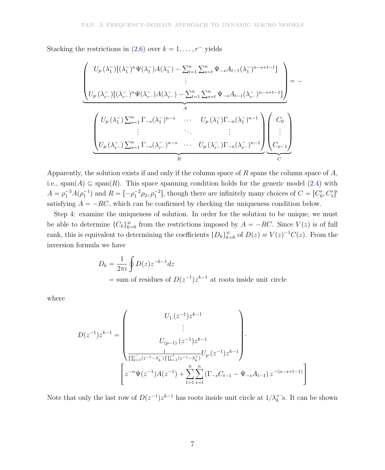Stacking the restrictions in (2.6) over  $k = 1, \ldots, r$ <sup>-</sup> yields

$$
\left(\begin{array}{c}\nU_{p\cdot}(\lambda_{1}^{-})\left[(\lambda_{1}^{-})^{n}\Psi(\lambda_{1}^{-})A(\lambda_{1}^{-})-\sum_{t=1}^{n}\sum_{s=t}^{n}\Psi_{-s}A_{t-1}(\lambda_{1}^{-})^{n-s+t-1}\right] \\
\vdots \\
U_{p\cdot}(\lambda_{r-}^{-})\left[(\lambda_{r-}^{-})^{n}\Psi(\lambda_{r-}^{-})A(\lambda_{r-}^{-})-\sum_{t=1}^{n}\sum_{s=t}^{n}\Psi_{-s}A_{t-1}(\lambda_{r-}^{-})^{n-s+t-1}\right]\n\end{array}\right) = -
$$
\n
$$
\left(\begin{array}{c}\nU_{p\cdot}(\lambda_{1}^{-})\sum_{s=1}^{n}\Gamma_{-s}(\lambda_{1}^{-})^{n-s} & \cdots & U_{p\cdot}(\lambda_{1}^{-})\Gamma_{-n}(\lambda_{1}^{-})^{n-1} \\
\vdots & \ddots & \vdots \\
U_{p\cdot}(\lambda_{r-}^{-})\sum_{s=1}^{n}\Gamma_{-s}(\lambda_{r-}^{-})^{n-s} & \cdots & U_{p\cdot}(\lambda_{r-}^{-})\Gamma_{-n}(\lambda_{r-}^{-})^{n-1}\n\end{array}\right)\n\left(\begin{array}{c}\nC_{0} \\
\vdots \\
C_{n-1}\n\end{array}\right)
$$

Apparently, the solution exists if and only if the column space of  $R$  spans the column space of  $A$ , i.e., span(A)  $\subseteq$  span(R). This space spanning condition holds for the generic model (2.4) with  $A = \rho_1^{-3} A(\rho_1^{-1})$  and  $R = [-\rho_1^{-2} \rho_2, \rho_1^{-2}]$ , though there are infinitely many choices of  $C = [C_0', C_1']'$ satisfying  $A = -RC$ , which can be confirmed by checking the uniqueness condition below.

Step 4: examine the uniqueness of solution. In order for the solution to be unique, we must be able to determine  ${C_k}_{k=0}^{\infty}$  from the restrictions imposed by  $A = -RC$ . Since  $V(z)$  is of full rank, this is equivalent to determining the coefficients  $\{D_k\}_{k=0}^{\infty}$  of  $D(z) \equiv V(z)^{-1}C(z)$ . From the inversion formula we have

$$
D_k = \frac{1}{2\pi i} \oint D(z) z^{-k-1} dz
$$
  
= sum of residues of  $D(z^{-1}) z^{k-1}$  at roots inside unit circle

where

$$
D(z^{-1})z^{k-1} = \begin{pmatrix} U_1.(z^{-1})z^{k-1} \\ \vdots \\ U_{(p-1) \cdot} (z^{-1})z^{k-1} \\ \frac{1}{\prod_{k=1}^r (z^{-1} - \lambda_k^-) \prod_{k=1}^r (z^{-1} - \lambda_k^+)} U_p.(z^{-1})z^{k-1} \end{pmatrix}.
$$

$$
z^{-n} \Psi(z^{-1}) A(z^{-1}) + \sum_{t=1}^n \sum_{s=t}^n (\Gamma_{-s} C_{t-1} - \Psi_{-s} A_{t-1}) z^{-(n-s+t-1)} \end{pmatrix}
$$

Note that only the last row of  $D(z^{-1})z^{k-1}$  has roots inside unit circle at  $1/\lambda_k^+$  $k^*$ 's. It can be shown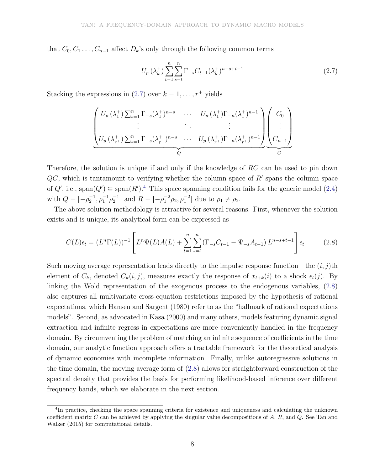that  $C_0, C_1, \ldots, C_{n-1}$  affect  $D_k$ 's only through the following common terms

$$
U_p(\lambda_k^+) \sum_{t=1}^n \sum_{s=t}^n \Gamma_{-s} C_{t-1}(\lambda_k^+)^{n-s+t-1}
$$
\n(2.7)

Stacking the expressions in  $(2.7)$  over  $k = 1, \ldots, r^+$  yields

$$
\underbrace{\begin{pmatrix} U_p(\lambda_1^+) \sum_{s=1}^n \Gamma_{-s}(\lambda_1^+)^{n-s} & \cdots & U_p(\lambda_1^+) \Gamma_{-n}(\lambda_1^+)^{n-1} \\ \vdots & \ddots & \vdots \\ U_p(\lambda_{r+}^+) \sum_{s=1}^n \Gamma_{-s}(\lambda_{r+}^+)^{n-s} & \cdots & U_p(\lambda_{r+}^+) \Gamma_{-n}(\lambda_{r+}^+)^{n-1} \end{pmatrix}}_{Q} \underbrace{\begin{pmatrix} C_0 \\ \vdots \\ C_{n-1} \end{pmatrix}}
$$

Therefore, the solution is unique if and only if the knowledge of RC can be used to pin down  $QC$ , which is tantamount to verifying whether the column space of  $R'$  spans the column space of  $Q'$ , i.e., span $(Q') \subseteq \text{span}(R')$ .<sup>4</sup> This space spanning condition fails for the generic model (2.4) with  $Q = \left[ -\rho_2^{-1}, \rho_1^{-1}\rho_2^{-1} \right]$  and  $R = \left[ -\rho_1^{-2}\rho_2, \rho_1^{-2} \right]$  due to  $\rho_1 \neq \rho_2$ .

The above solution methodology is attractive for several reasons. First, whenever the solution exists and is unique, its analytical form can be expressed as

$$
C(L)\epsilon_t = (L^n \Gamma(L))^{-1} \left[ L^n \Psi(L) A(L) + \sum_{t=1}^n \sum_{s=t}^n \left( \Gamma_{-s} C_{t-1} - \Psi_{-s} A_{t-1} \right) L^{n-s+t-1} \right] \epsilon_t \tag{2.8}
$$

Such moving average representation leads directly to the impulse response function—the  $(i, j)$ th element of  $C_k$ , denoted  $C_k(i, j)$ , measures exactly the response of  $x_{t+k}(i)$  to a shock  $\epsilon_t(j)$ . By linking the Wold representation of the exogenous process to the endogenous variables, (2.8) also captures all multivariate cross-equation restrictions imposed by the hypothesis of rational expectations, which Hansen and Sargent (1980) refer to as the "hallmark of rational expectations models". Second, as advocated in Kasa (2000) and many others, models featuring dynamic signal extraction and infinite regress in expectations are more conveniently handled in the frequency domain. By circumventing the problem of matching an infinite sequence of coefficients in the time domain, our analytic function approach offers a tractable framework for the theoretical analysis of dynamic economies with incomplete information. Finally, unlike autoregressive solutions in the time domain, the moving average form of (2.8) allows for straightforward construction of the spectral density that provides the basis for performing likelihood-based inference over different frequency bands, which we elaborate in the next section.

<sup>&</sup>lt;sup>4</sup>In practice, checking the space spanning criteria for existence and uniqueness and calculating the unknown coefficient matrix  $C$  can be achieved by applying the singular value decompositions of  $A$ ,  $R$ , and  $Q$ . See Tan and Walker (2015) for computational details.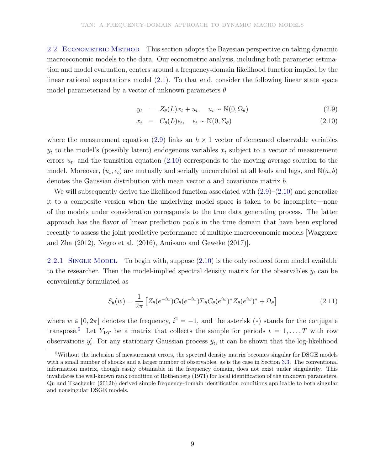2.2 ECONOMETRIC METHOD This section adopts the Bayesian perspective on taking dynamic macroeconomic models to the data. Our econometric analysis, including both parameter estimation and model evaluation, centers around a frequency-domain likelihood function implied by the linear rational expectations model (2.1). To that end, consider the following linear state space model parameterized by a vector of unknown parameters  $\theta$ 

$$
y_t = Z_{\theta}(L)x_t + u_t, \quad u_t \sim \mathbb{N}(0, \Omega_{\theta})
$$
\n(2.9)

$$
x_t = C_{\theta}(L)\epsilon_t, \quad \epsilon_t \sim \mathbb{N}(0, \Sigma_{\theta})
$$
\n(2.10)

where the measurement equation (2.9) links an  $h \times 1$  vector of demeaned observable variables  $y_t$  to the model's (possibly latent) endogenous variables  $x_t$  subject to a vector of measurement errors  $u_t$ , and the transition equation  $(2.10)$  corresponds to the moving average solution to the model. Moreover,  $(u_t, \epsilon_t)$  are mutually and serially uncorrelated at all leads and lags, and  $\mathbb{N}(a, b)$ denotes the Gaussian distribution with mean vector a and covariance matrix b.

We will subsequently derive the likelihood function associated with  $(2.9)$ – $(2.10)$  and generalize it to a composite version when the underlying model space is taken to be incomplete—none of the models under consideration corresponds to the true data generating process. The latter approach has the flavor of linear prediction pools in the time domain that have been explored recently to assess the joint predictive performance of multiple macroeconomic models [Waggoner and Zha (2012), Negro et al. (2016), Amisano and Geweke (2017)].

2.2.1 SINGLE MODEL To begin with, suppose  $(2.10)$  is the only reduced form model available to the researcher. Then the model-implied spectral density matrix for the observables  $y_t$  can be conveniently formulated as

$$
S_{\theta}(w) = \frac{1}{2\pi} \left[ Z_{\theta}(e^{-iw}) C_{\theta}(e^{-iw}) \Sigma_{\theta} C_{\theta}(e^{iw})^* Z_{\theta}(e^{iw})^* + \Omega_{\theta} \right]
$$
(2.11)

where  $w \in [0, 2\pi]$  denotes the frequency,  $i^2 = -1$ , and the asterisk (\*) stands for the conjugate transpose.<sup>5</sup> Let  $Y_{1:T}$  be a matrix that collects the sample for periods  $t = 1, \ldots, T$  with row observations  $y'_t$ . For any stationary Gaussian process  $y_t$ , it can be shown that the log-likelihood

<sup>5</sup>Without the inclusion of measurement errors, the spectral density matrix becomes singular for DSGE models with a small number of shocks and a larger number of observables, as is the case in Section 3.3. The conventional information matrix, though easily obtainable in the frequency domain, does not exist under singularity. This invalidates the well-known rank condition of Rothenberg (1971) for local identification of the unknown parameters. Qu and Tkachenko (2012b) derived simple frequency-domain identification conditions applicable to both singular and nonsingular DSGE models.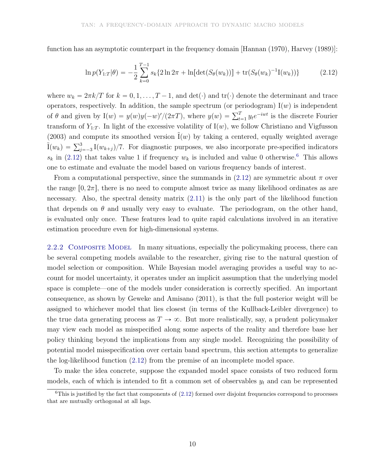function has an asymptotic counterpart in the frequency domain [Hannan (1970), Harvey (1989)]:

$$
\ln p(Y_{1:T}|\theta) = -\frac{1}{2} \sum_{k=0}^{T-1} s_k \{ 2 \ln 2\pi + \ln[\det(S_{\theta}(w_k))] + \text{tr}(S_{\theta}(w_k)^{-1}I(w_k)) \}
$$
(2.12)

where  $w_k = 2\pi k/T$  for  $k = 0, 1, ..., T - 1$ , and  $\det(\cdot)$  and  $\text{tr}(\cdot)$  denote the determinant and trace operators, respectively. In addition, the sample spectrum (or periodogram)  $I(w)$  is independent of  $\theta$  and given by  $I(w) = y(w)y(-w)'/(2\pi T)$ , where  $y(w) = \sum_{t=1}^{T} y_t e^{-iwt}$  is the discrete Fourier transform of  $Y_{1:T}$ . In light of the excessive volatility of  $I(w)$ , we follow Christiano and Vigfusson (2003) and compute its smoothed version  $I(w)$  by taking a centered, equally weighted average  $\tilde{I}(w_k) = \sum_{j=-3}^{3} I(w_{k+j})/7$ . For diagnostic purposes, we also incorporate pre-specified indicators  $s_k$  in (2.12) that takes value 1 if frequency  $w_k$  is included and value 0 otherwise.<sup>6</sup> This allows one to estimate and evaluate the model based on various frequency bands of interest.

From a computational perspective, since the summands in  $(2.12)$  are symmetric about  $\pi$  over the range  $[0, 2\pi]$ , there is no need to compute almost twice as many likelihood ordinates as are necessary. Also, the spectral density matrix  $(2.11)$  is the only part of the likelihood function that depends on  $\theta$  and usually very easy to evaluate. The periodogram, on the other hand, is evaluated only once. These features lead to quite rapid calculations involved in an iterative estimation procedure even for high-dimensional systems.

2.2.2 COMPOSITE MODEL In many situations, especially the policymaking process, there can be several competing models available to the researcher, giving rise to the natural question of model selection or composition. While Bayesian model averaging provides a useful way to account for model uncertainty, it operates under an implicit assumption that the underlying model space is complete—one of the models under consideration is correctly specified. An important consequence, as shown by Geweke and Amisano (2011), is that the full posterior weight will be assigned to whichever model that lies closest (in terms of the Kullback-Leibler divergence) to the true data generating process as  $T \to \infty$ . But more realistically, say, a prudent policymaker may view each model as misspecified along some aspects of the reality and therefore base her policy thinking beyond the implications from any single model. Recognizing the possibility of potential model misspecification over certain band spectrum, this section attempts to generalize the log-likelihood function (2.12) from the premise of an incomplete model space.

To make the idea concrete, suppose the expanded model space consists of two reduced form models, each of which is intended to fit a common set of observables  $y_t$  and can be represented

 $6$ This is justified by the fact that components of  $(2.12)$  formed over disjoint frequencies correspond to processes that are mutually orthogonal at all lags.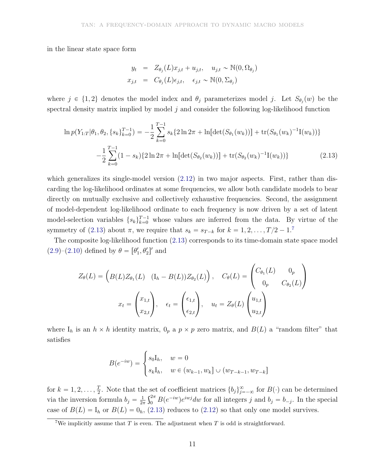in the linear state space form

$$
y_t = Z_{\theta_j}(L)x_{j,t} + u_{j,t}, \quad u_{j,t} \sim \mathbb{N}(0, \Omega_{\theta_j})
$$
  

$$
x_{j,t} = C_{\theta_j}(L)\epsilon_{j,t}, \quad \epsilon_{j,t} \sim \mathbb{N}(0, \Sigma_{\theta_j})
$$

where  $j \in \{1, 2\}$  denotes the model index and  $\theta_j$  parameterizes model j. Let  $S_{\theta_j}(w)$  be the spectral density matrix implied by model  $j$  and consider the following log-likelihood function

$$
\ln p(Y_{1:T}|\theta_1, \theta_2, \{s_k\}_{k=0}^{T-1}) = -\frac{1}{2} \sum_{k=0}^{T-1} s_k \{2\ln 2\pi + \ln[\det(S_{\theta_1}(w_k))] + \text{tr}(S_{\theta_1}(w_k)^{-1}\mathbf{I}(w_k))\}
$$

$$
-\frac{1}{2} \sum_{k=0}^{T-1} (1 - s_k) \{2\ln 2\pi + \ln[\det(S_{\theta_2}(w_k))] + \text{tr}(S_{\theta_2}(w_k)^{-1}\mathbf{I}(w_k))\}
$$
(2.13)

which generalizes its single-model version  $(2.12)$  in two major aspects. First, rather than discarding the log-likelihood ordinates at some frequencies, we allow both candidate models to bear directly on mutually exclusive and collectively exhaustive frequencies. Second, the assignment of model-dependent log-likelihood ordinate to each frequency is now driven by a set of latent model-selection variables  $\{s_k\}_{k=0}^{T-1}$  whose values are inferred from the data. By virtue of the symmetry of (2.13) about  $\pi$ , we require that  $s_k = s_{T-k}$  for  $k = 1, 2, \ldots, T/2 - 1$ .<sup>7</sup>

The composite log-likelihood function (2.13) corresponds to its time-domain state space model  $(2.9)$ - $(2.10)$  defined by  $\theta = [\theta'_1, \theta'_2]'$  and

$$
Z_{\theta}(L) = \left(B(L)Z_{\theta_1}(L) \quad (I_h - B(L))Z_{\theta_2}(L)\right), \quad C_{\theta}(L) = \begin{pmatrix} C_{\theta_1}(L) & 0_p \\ 0_p & C_{\theta_2}(L) \end{pmatrix}
$$

$$
x_t = \begin{pmatrix} x_{1,t} \\ x_{2,t} \end{pmatrix}, \quad \epsilon_t = \begin{pmatrix} \epsilon_{1,t} \\ \epsilon_{2,t} \end{pmatrix}, \quad u_t = Z_{\theta}(L) \begin{pmatrix} u_{1,t} \\ u_{2,t} \end{pmatrix}
$$

where  $I_h$  is an  $h \times h$  identity matrix,  $0_p$  a  $p \times p$  zero matrix, and  $B(L)$  a "random filter" that satisfies

$$
B(e^{-iw}) = \begin{cases} s_0I_h, & w = 0\\ s_kI_h, & w \in (w_{k-1}, w_k] \cup (w_{T-k-1}, w_{T-k}) \end{cases}
$$

for  $k = 1, 2, \ldots, \frac{T}{2}$ . Note that the set of coefficient matrices  $\{b_j\}_{j=-\infty}^{\infty}$  for  $B(\cdot)$  can be determined via the inversion formula  $b_j = \frac{1}{2i}$  $\frac{1}{2\pi} \int_0^{2\pi} B(e^{-iw}) e^{iwj} dw$  for all integers j and  $b_j = b_{-j}$ . In the special case of  $B(L) = I_h$  or  $B(L) = 0_h$ , (2.13) reduces to (2.12) so that only one model survives.

<sup>&</sup>lt;sup>7</sup>We implicitly assume that T is even. The adjustment when T is odd is straightforward.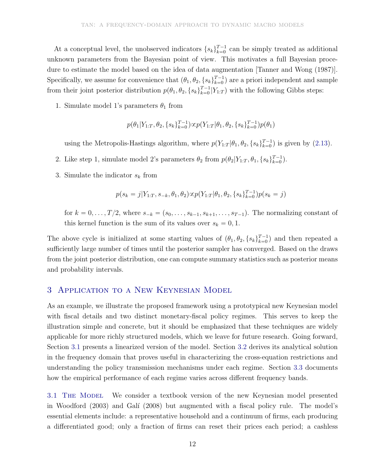At a conceptual level, the unobserved indicators  $\{s_k\}_{k=0}^{T-1}$  $\frac{T-1}{k=0}$  can be simply treated as additional unknown parameters from the Bayesian point of view. This motivates a full Bayesian procedure to estimate the model based on the idea of data augmentation [Tanner and Wong (1987)]. Specifically, we assume for convenience that  $(\theta_1, \theta_2, \{s_k\}_{k=0}^{T-1})$  $\binom{T-1}{k=0}$  are a priori independent and sample from their joint posterior distribution  $p(\theta_1, \theta_2, \{s_k\}_{k=0}^{T-1})$  $\binom{T-1}{k=0} Y_{1:T}$  with the following Gibbs steps:

1. Simulate model 1's parameters  $\theta_1$  from

$$
p(\theta_1|Y_{1:T},\theta_2,\{s_k\}_{k=0}^{T-1})\infty p(Y_{1:T}|\theta_1,\theta_2,\{s_k\}_{k=0}^{T-1})p(\theta_1)
$$

using the Metropolis-Hastings algorithm, where  $p(Y_{1:T} | \theta_1, \theta_2, \{s_k\}_{k=0}^{T-1})$  $_{k=0}^{T-1}$ ) is given by  $(2.13)$ .

- 2. Like step 1, simulate model 2's parameters  $\theta_2$  from  $p(\theta_2|Y_{1:T}, \theta_1, \{s_k\}_{k=0}^{T-1})$  $\binom{T-1}{k=0}$ .
- 3. Simulate the indicator  $s_k$  from

$$
p(s_k=j|Y_{1:T},s_{-k},\theta_1,\theta_2)\textcolor{black}{\propto} p(Y_{1:T}|\theta_1,\theta_2,\{s_k\}_{k=0}^{T-1})p(s_k=j)
$$

for  $k = 0, \ldots, T/2$ , where  $s_{-k} = (s_0, \ldots, s_{k-1}, s_{k+1}, \ldots, s_{T-1})$ . The normalizing constant of this kernel function is the sum of its values over  $s_k = 0, 1$ .

The above cycle is initialized at some starting values of  $(\theta_1, \theta_2, \{s_k\}_{k=0}^{T-1})$  $\binom{T-1}{k=0}$  and then repeated a sufficiently large number of times until the posterior sampler has converged. Based on the draws from the joint posterior distribution, one can compute summary statistics such as posterior means and probability intervals.

## 3 Application to a New Keynesian Model

As an example, we illustrate the proposed framework using a prototypical new Keynesian model with fiscal details and two distinct monetary-fiscal policy regimes. This serves to keep the illustration simple and concrete, but it should be emphasized that these techniques are widely applicable for more richly structured models, which we leave for future research. Going forward, Section 3.1 presents a linearized version of the model. Section 3.2 derives its analytical solution in the frequency domain that proves useful in characterizing the cross-equation restrictions and understanding the policy transmission mechanisms under each regime. Section 3.3 documents how the empirical performance of each regime varies across different frequency bands.

3.1 The Model We consider a textbook version of the new Keynesian model presented in Woodford (2003) and Galí (2008) but augmented with a fiscal policy rule. The model's essential elements include: a representative household and a continuum of firms, each producing a differentiated good; only a fraction of firms can reset their prices each period; a cashless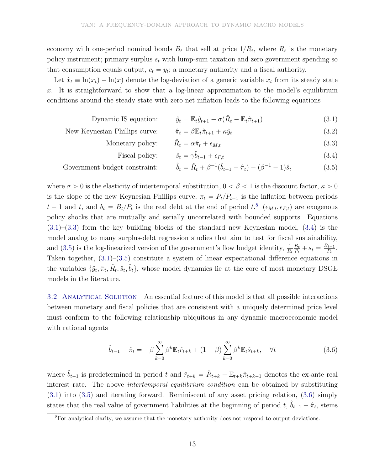economy with one-period nominal bonds  $B_t$  that sell at price  $1/R_t$ , where  $R_t$  is the monetary policy instrument; primary surplus  $s_t$  with lump-sum taxation and zero government spending so that consumption equals output,  $c_t = y_t$ ; a monetary authority and a fiscal authority.

Let  $\hat{x}_t \equiv \ln(x_t) - \ln(x)$  denote the log-deviation of a generic variable  $x_t$  from its steady state x. It is straightforward to show that a log-linear approximation to the model's equilibrium conditions around the steady state with zero net inflation leads to the following equations

Dynamic IS equation:  $\hat{y}_t = \mathbb{E}_t \hat{y}_{t+1} - \sigma(\hat{R}_t - \mathbb{E}_t \hat{\pi}_{t+1})$  (3.1)

New Keynesian Phillips curve: 
$$
\hat{\pi}_t = \beta \mathbb{E}_t \hat{\pi}_{t+1} + \kappa \hat{y}_t
$$
 (3.2)

- Monetary policy:  $\hat{R}_t = \alpha \hat{\pi}_t + \epsilon_{M,t}$  (3.3)
- Fiscal policy:  $\hat{s}_t = \gamma \hat{b}_{t-1} + \epsilon_{F,t}$  (3.4)

Government budget constraint: 
$$
\hat{b}_t = \hat{R}_t + \beta^{-1}(\hat{b}_{t-1} - \hat{\pi}_t) - (\beta^{-1} - 1)\hat{s}_t
$$
 (3.5)

where  $\sigma > 0$  is the elasticity of intertemporal substitution,  $0 < \beta < 1$  is the discount factor,  $\kappa > 0$ is the slope of the new Keynesian Phillips curve,  $\pi_t = P_t/P_{t-1}$  is the inflation between periods  $t-1$  and  $t$ , and  $b_t = B_t/P_t$  is the real debt at the end of period  $t$ <sup>8</sup>.  $(\epsilon_{M,t}, \epsilon_{F,t})$  are exogenous policy shocks that are mutually and serially uncorrelated with bounded supports. Equations  $(3.1)$ – $(3.3)$  form the key building blocks of the standard new Keynesian model,  $(3.4)$  is the model analog to many surplus-debt regression studies that aim to test for fiscal sustainability, and (3.5) is the log-linearized version of the government's flow budget identity,  $\frac{1}{R_t}$  $B_t$  $\frac{B_t}{P_t} + s_t = \frac{B_{t-1}}{P_t}$  $\frac{t-1}{P_t}$ . Taken together, (3.1)–(3.5) constitute a system of linear expectational difference equations in the variables  $\{\hat{y}_t, \hat{\pi}_t, \hat{R}_t, \hat{s}_t, \hat{b}_t\}$ , whose model dynamics lie at the core of most monetary DSGE models in the literature.

3.2 ANALYTICAL SOLUTION An essential feature of this model is that all possible interactions between monetary and fiscal policies that are consistent with a uniquely determined price level must conform to the following relationship ubiquitous in any dynamic macroeconomic model with rational agents

$$
\hat{b}_{t-1} - \hat{\pi}_t = -\beta \sum_{k=0}^{\infty} \beta^k \mathbb{E}_t \hat{r}_{t+k} + (1-\beta) \sum_{k=0}^{\infty} \beta^k \mathbb{E}_t \hat{s}_{t+k}, \quad \forall t
$$
\n(3.6)

where  $\hat{b}_{t-1}$  is predetermined in period t and  $\hat{r}_{t+k} = \hat{R}_{t+k} - \mathbb{E}_{t+k}\hat{\pi}_{t+k+1}$  denotes the ex-ante real interest rate. The above *intertemporal equilibrium condition* can be obtained by substituting (3.1) into (3.5) and iterating forward. Reminiscent of any asset pricing relation, (3.6) simply states that the real value of government liabilities at the beginning of period  $t, \hat{b}_{t-1} - \hat{\pi}_t$ , stems

<sup>&</sup>lt;sup>8</sup>For analytical clarity, we assume that the monetary authority does not respond to output deviations.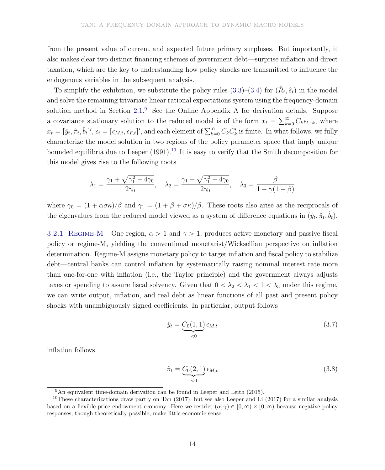from the present value of current and expected future primary surpluses. But importantly, it also makes clear two distinct financing schemes of government debt—surprise inflation and direct taxation, which are the key to understanding how policy shocks are transmitted to influence the endogenous variables in the subsequent analysis.

To simplify the exhibition, we substitute the policy rules  $(3.3)$ – $(3.4)$  for  $(\hat{R}_t, \hat{s}_t)$  in the model and solve the remaining trivariate linear rational expectations system using the frequency-domain solution method in Section 2.1.<sup>9</sup> See the Online Appendix A for derivation details. Suppose a covariance stationary solution to the reduced model is of the form  $x_t = \sum_{k=0}^{\infty} C_k \epsilon_{t-k}$ , where  $x_t = [\hat{y}_t, \hat{\pi}_t, \hat{b}_t]'$ ,  $\epsilon_t = [\epsilon_{M,t}, \epsilon_{F,t}]'$ , and each element of  $\sum_{k=0}^{\infty} C_k C'_k$  is finite. In what follows, we fully characterize the model solution in two regions of the policy parameter space that imply unique bounded equilibria due to Leeper  $(1991)$ .<sup>10</sup> It is easy to verify that the Smith decomposition for this model gives rise to the following roots

$$
\lambda_1 = \frac{\gamma_1 + \sqrt{\gamma_1^2 - 4\gamma_0}}{2\gamma_0}, \quad \lambda_2 = \frac{\gamma_1 - \sqrt{\gamma_1^2 - 4\gamma_0}}{2\gamma_0}, \quad \lambda_3 = \frac{\beta}{1 - \gamma(1 - \beta)}
$$

where  $\gamma_0 = (1 + \alpha \sigma \kappa)/\beta$  and  $\gamma_1 = (1 + \beta + \sigma \kappa)/\beta$ . These roots also arise as the reciprocals of the eigenvalues from the reduced model viewed as a system of difference equations in  $(\hat{y}_t, \hat{\pi}_t, \hat{b}_t)$ .

3.2.1 REGIME-M One region,  $\alpha > 1$  and  $\gamma > 1$ , produces active monetary and passive fiscal policy or regime-M, yielding the conventional monetarist/Wicksellian perspective on inflation determination. Regime-M assigns monetary policy to target inflation and fiscal policy to stabilize debt—central banks can control inflation by systematically raising nominal interest rate more than one-for-one with inflation (i.e., the Taylor principle) and the government always adjusts taxes or spending to assure fiscal solvency. Given that  $0 < \lambda_2 < \lambda_1 < 1 < \lambda_3$  under this regime, we can write output, inflation, and real debt as linear functions of all past and present policy shocks with unambiguously signed coefficients. In particular, output follows

$$
\hat{y}_t = \underbrace{C_0(1,1)}_{<0} \epsilon_{M,t} \tag{3.7}
$$

inflation follows

$$
\hat{\pi}_t = \underbrace{C_0(2,1)}_{<0} \epsilon_{M,t} \tag{3.8}
$$

 $9\text{An equivalent time-domain derivation can be found in Leeper and Leith (2015).}$ 

<sup>&</sup>lt;sup>10</sup>These characterizations draw partly on Tan  $(2017)$ , but see also Leeper and Li  $(2017)$  for a similar analysis based on a flexible-price endowment economy. Here we restrict  $(\alpha, \gamma) \in [0, \infty) \times [0, \infty)$  because negative policy responses, though theoretically possible, make little economic sense.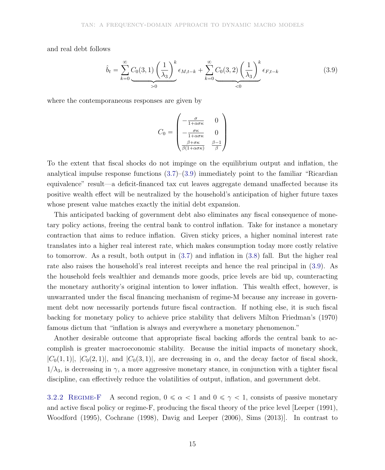and real debt follows

$$
\hat{b}_t = \sum_{k=0}^{\infty} \underbrace{C_0(3,1)}_{>0} \left(\frac{1}{\lambda_3}\right)^k \epsilon_{M,t-k} + \sum_{k=0}^{\infty} \underbrace{C_0(3,2)}_{<0} \left(\frac{1}{\lambda_3}\right)^k \epsilon_{F,t-k} \tag{3.9}
$$

where the contemporaneous responses are given by

$$
C_0 = \begin{pmatrix} -\frac{\sigma}{1 + \alpha \sigma \kappa} & 0\\ -\frac{\sigma \kappa}{1 + \alpha \sigma \kappa} & 0\\ \frac{\beta + \sigma \kappa}{\beta (1 + \alpha \sigma \kappa)} & \frac{\beta - 1}{\beta} \end{pmatrix}
$$

To the extent that fiscal shocks do not impinge on the equilibrium output and inflation, the analytical impulse response functions  $(3.7)$ – $(3.9)$  immediately point to the familiar "Ricardian" equivalence" result—a deficit-financed tax cut leaves aggregate demand unaffected because its positive wealth effect will be neutralized by the household's anticipation of higher future taxes whose present value matches exactly the initial debt expansion.

This anticipated backing of government debt also eliminates any fiscal consequence of monetary policy actions, freeing the central bank to control inflation. Take for instance a monetary contraction that aims to reduce inflation. Given sticky prices, a higher nominal interest rate translates into a higher real interest rate, which makes consumption today more costly relative to tomorrow. As a result, both output in (3.7) and inflation in (3.8) fall. But the higher real rate also raises the household's real interest receipts and hence the real principal in (3.9). As the household feels wealthier and demands more goods, price levels are bid up, counteracting the monetary authority's original intention to lower inflation. This wealth effect, however, is unwarranted under the fiscal financing mechanism of regime-M because any increase in government debt now necessarily portends future fiscal contraction. If nothing else, it is such fiscal backing for monetary policy to achieve price stability that delivers Milton Friedman's (1970) famous dictum that "inflation is always and everywhere a monetary phenomenon."

Another desirable outcome that appropriate fiscal backing affords the central bank to accomplish is greater macroeconomic stability. Because the initial impacts of monetary shock,  $|C_0(1,1)|, |C_0(2,1)|,$  and  $|C_0(3,1)|$ , are decreasing in  $\alpha$ , and the decay factor of fiscal shock,  $1/\lambda_3$ , is decreasing in  $\gamma$ , a more aggressive monetary stance, in conjunction with a tighter fiscal discipline, can effectively reduce the volatilities of output, inflation, and government debt.

3.2.2 REGIME-F A second region,  $0 \le \alpha < 1$  and  $0 \le \gamma < 1$ , consists of passive monetary and active fiscal policy or regime-F, producing the fiscal theory of the price level [Leeper (1991), Woodford (1995), Cochrane (1998), Davig and Leeper (2006), Sims (2013)]. In contrast to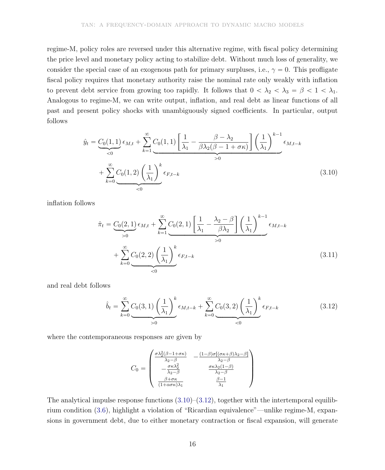regime-M, policy roles are reversed under this alternative regime, with fiscal policy determining the price level and monetary policy acting to stabilize debt. Without much loss of generality, we consider the special case of an exogenous path for primary surpluses, i.e.,  $\gamma = 0$ . This profligate fiscal policy requires that monetary authority raise the nominal rate only weakly with inflation to prevent debt service from growing too rapidly. It follows that  $0 < \lambda_2 < \lambda_3 = \beta < 1 < \lambda_1$ . Analogous to regime-M, we can write output, inflation, and real debt as linear functions of all past and present policy shocks with unambiguously signed coefficients. In particular, output follows

$$
\hat{y}_t = C_0(1,1) \epsilon_{M,t} + \sum_{k=1}^{\infty} C_0(1,1) \left[ \frac{1}{\lambda_1} - \frac{\beta - \lambda_2}{\beta \lambda_2 (\beta - 1 + \sigma \kappa)} \right] \left( \frac{1}{\lambda_1} \right)^{k-1} \epsilon_{M,t-k} \n+ \sum_{k=0}^{\infty} C_0(1,2) \left( \frac{1}{\lambda_1} \right)^k \epsilon_{F,t-k}
$$
\n(3.10)

inflation follows

$$
\hat{\pi}_t = \underbrace{C_0(2,1)}_{>0} \epsilon_{M,t} + \sum_{k=1}^{\infty} \underbrace{C_0(2,1)}_{>0} \left[ \frac{1}{\lambda_1} - \frac{\lambda_2 - \beta}{\beta \lambda_2} \right] \left( \frac{1}{\lambda_1} \right)^{k-1} \epsilon_{M,t-k} \n+ \sum_{k=0}^{\infty} \underbrace{C_0(2,2)}_{<0} \left( \frac{1}{\lambda_1} \right)^k \epsilon_{F,t-k}
$$
\n(3.11)

and real debt follows

$$
\hat{b}_t = \sum_{k=0}^{\infty} \underbrace{C_0(3,1) \left(\frac{1}{\lambda_1}\right)^k}_{>0} \epsilon_{M,t-k} + \sum_{k=0}^{\infty} \underbrace{C_0(3,2) \left(\frac{1}{\lambda_1}\right)^k}_{<0} \epsilon_{F,t-k} \tag{3.12}
$$

where the contemporaneous responses are given by

$$
C_0 = \begin{pmatrix} \frac{\sigma \lambda_2^2 (\beta - 1 + \sigma \kappa)}{\lambda_2 - \beta} & -\frac{(1 - \beta)\sigma [(\sigma \kappa + \beta)\lambda_2 - \beta]}{\lambda_2 - \beta} \\ -\frac{\sigma \kappa \lambda_2^2}{\lambda_2 - \beta} & \frac{\sigma \kappa \lambda_2 (1 - \beta)}{\lambda_2 - \beta} \\ \frac{\beta + \sigma \kappa}{(1 + \alpha \sigma \kappa)\lambda_1} & \frac{\beta - 1}{\lambda_1} \end{pmatrix}
$$

The analytical impulse response functions  $(3.10)$ – $(3.12)$ , together with the intertemporal equilibrium condition (3.6), highlight a violation of "Ricardian equivalence"—unlike regime-M, expansions in government debt, due to either monetary contraction or fiscal expansion, will generate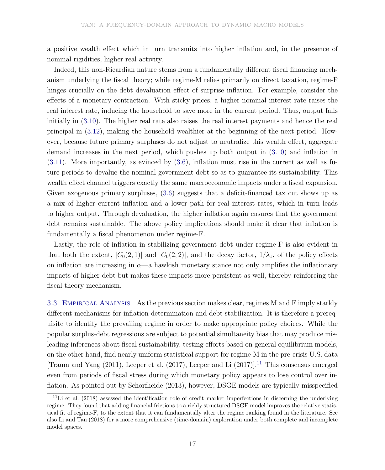a positive wealth effect which in turn transmits into higher inflation and, in the presence of nominal rigidities, higher real activity.

Indeed, this non-Ricardian nature stems from a fundamentally different fiscal financing mechanism underlying the fiscal theory; while regime-M relies primarily on direct taxation, regime-F hinges crucially on the debt devaluation effect of surprise inflation. For example, consider the effects of a monetary contraction. With sticky prices, a higher nominal interest rate raises the real interest rate, inducing the household to save more in the current period. Thus, output falls initially in (3.10). The higher real rate also raises the real interest payments and hence the real principal in (3.12), making the household wealthier at the beginning of the next period. However, because future primary surpluses do not adjust to neutralize this wealth effect, aggregate demand increases in the next period, which pushes up both output in (3.10) and inflation in (3.11). More importantly, as evinced by (3.6), inflation must rise in the current as well as future periods to devalue the nominal government debt so as to guarantee its sustainability. This wealth effect channel triggers exactly the same macroeconomic impacts under a fiscal expansion. Given exogenous primary surpluses, (3.6) suggests that a deficit-financed tax cut shows up as a mix of higher current inflation and a lower path for real interest rates, which in turn leads to higher output. Through devaluation, the higher inflation again ensures that the government debt remains sustainable. The above policy implications should make it clear that inflation is fundamentally a fiscal phenomenon under regime-F.

Lastly, the role of inflation in stabilizing government debt under regime-F is also evident in that both the extent,  $|C_0(2, 1)|$  and  $|C_0(2, 2)|$ , and the decay factor,  $1/\lambda_1$ , of the policy effects on inflation are increasing in  $\alpha$ —a hawkish monetary stance not only amplifies the inflationary impacts of higher debt but makes these impacts more persistent as well, thereby reinforcing the fiscal theory mechanism.

3.3 EMPIRICAL ANALYSIS As the previous section makes clear, regimes M and F imply starkly different mechanisms for inflation determination and debt stabilization. It is therefore a prerequisite to identify the prevailing regime in order to make appropriate policy choices. While the popular surplus-debt regressions are subject to potential simultaneity bias that may produce misleading inferences about fiscal sustainability, testing efforts based on general equilibrium models, on the other hand, find nearly uniform statistical support for regime-M in the pre-crisis U.S. data [Traum and Yang  $(2011)$ , Leeper et al.  $(2017)$ , Leeper and Li  $(2017)$ ].<sup>11</sup> This consensus emerged even from periods of fiscal stress during which monetary policy appears to lose control over inflation. As pointed out by Schorfheide (2013), however, DSGE models are typically misspecified

 $11$ Li et al. (2018) assessed the identification role of credit market imperfections in discerning the underlying regime. They found that adding financial frictions to a richly structured DSGE model improves the relative statistical fit of regime-F, to the extent that it can fundamentally alter the regime ranking found in the literature. See also Li and Tan (2018) for a more comprehensive (time-domain) exploration under both complete and incomplete model spaces.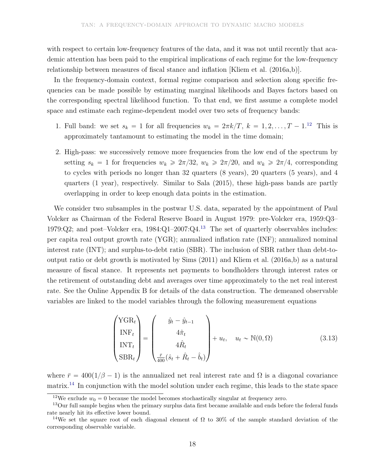with respect to certain low-frequency features of the data, and it was not until recently that academic attention has been paid to the empirical implications of each regime for the low-frequency relationship between measures of fiscal stance and inflation [Kliem et al. (2016a,b)].

In the frequency-domain context, formal regime comparison and selection along specific frequencies can be made possible by estimating marginal likelihoods and Bayes factors based on the corresponding spectral likelihood function. To that end, we first assume a complete model space and estimate each regime-dependent model over two sets of frequency bands:

- 1. Full band: we set  $s_k = 1$  for all frequencies  $w_k = 2\pi k/T$ ,  $k = 1, 2, \ldots, T 1$ .<sup>12</sup> This is approximately tantamount to estimating the model in the time domain;
- 2. High-pass: we successively remove more frequencies from the low end of the spectrum by setting  $s_k = 1$  for frequencies  $w_k \geq 2\pi/32$ ,  $w_k \geq 2\pi/20$ , and  $w_k \geq 2\pi/4$ , corresponding to cycles with periods no longer than 32 quarters (8 years), 20 quarters (5 years), and 4 quarters (1 year), respectively. Similar to Sala (2015), these high-pass bands are partly overlapping in order to keep enough data points in the estimation.

We consider two subsamples in the postwar U.S. data, separated by the appointment of Paul Volcker as Chairman of the Federal Reserve Board in August 1979: pre-Volcker era, 1959:Q3– 1979:Q2; and post–Volcker era,  $1984:Q1-2007:Q4<sup>13</sup>$  The set of quarterly observables includes: per capita real output growth rate (YGR); annualized inflation rate (INF); annualized nominal interest rate (INT); and surplus-to-debt ratio (SBR). The inclusion of SBR rather than debt-tooutput ratio or debt growth is motivated by Sims (2011) and Kliem et al. (2016a,b) as a natural measure of fiscal stance. It represents net payments to bondholders through interest rates or the retirement of outstanding debt and averages over time approximately to the net real interest rate. See the Online Appendix B for details of the data construction. The demeaned observable variables are linked to the model variables through the following measurement equations

$$
\begin{pmatrix}\nYGR_t \\
INF_t \\
INT_t \\
SBR_t\n\end{pmatrix} = \begin{pmatrix}\n\hat{y}_t - \hat{y}_{t-1} \\
4\hat{\pi}_t \\
4\hat{R}_t \\
\frac{\bar{r}}{400}(\hat{s}_t + \hat{R}_t - \hat{b}_t)\n\end{pmatrix} + u_t, \quad u_t \sim \mathbb{N}(0, \Omega)
$$
\n(3.13)

where  $\bar{r} = 400(1/\beta - 1)$  is the annualized net real interest rate and  $\Omega$  is a diagonal covariance matrix.<sup>14</sup> In conjunction with the model solution under each regime, this leads to the state space

<sup>&</sup>lt;sup>12</sup>We exclude  $w_0 = 0$  because the model becomes stochastically singular at frequency zero.

<sup>&</sup>lt;sup>13</sup>Our full sample begins when the primary surplus data first became available and ends before the federal funds rate nearly hit its effective lower bound.

<sup>&</sup>lt;sup>14</sup>We set the square root of each diagonal element of  $\Omega$  to 30% of the sample standard deviation of the corresponding observable variable.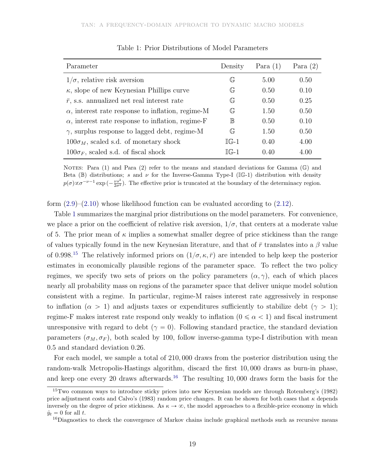| Parameter                                                | Density                                | Para $(1)$ | Para $(2)$ |
|----------------------------------------------------------|----------------------------------------|------------|------------|
| $1/\sigma$ , relative risk aversion                      | $\mathbb{G}$                           | 5.00       | 0.50       |
| $\kappa$ , slope of new Keynesian Phillips curve         | $\mathbb{G}_{\overline{\mathfrak{n}}}$ | 0.50       | 0.10       |
| $\bar{r}$ , s.s. annualized net real interest rate       | $\mathbb{G}$                           | 0.50       | 0.25       |
| $\alpha$ , interest rate response to inflation, regime-M | $\mathbb{G}$                           | 1.50       | 0.50       |
| $\alpha$ , interest rate response to inflation, regime-F | $\mathbb B$                            | 0.50       | 0.10       |
| $\gamma$ , surplus response to lagged debt, regime-M     | $\mathbb{G}$                           | 1.50       | 0.50       |
| $100\sigma_M$ , scaled s.d. of monetary shock            | $IG-1$                                 | 0.40       | 4.00       |
| $100\sigma_F$ , scaled s.d. of fiscal shock              | $\mathbb{TC}_{\pi-1}$                  | 0.40       | 4.00       |

Table 1: Prior Distributions of Model Parameters

NOTES: Para (1) and Para (2) refer to the means and standard deviations for Gamma ( $\mathbb{G}$ ) and Beta (B) distributions; s and  $\nu$  for the Inverse-Gamma Type-I (IG-1) distribution with density  $p(\sigma) \propto \sigma^{-\nu-1} \exp\left(-\frac{\nu s^2}{2\sigma^2}\right)$ . The effective prior is truncated at the boundary of the determinacy region.

form  $(2.9)$ – $(2.10)$  whose likelihood function can be evaluated according to  $(2.12)$ .

Table 1 summarizes the marginal prior distributions on the model parameters. For convenience, we place a prior on the coefficient of relative risk aversion,  $1/\sigma$ , that centers at a moderate value of 5. The prior mean of  $\kappa$  implies a somewhat smaller degree of price stickiness than the range of values typically found in the new Keynesian literature, and that of  $\bar{r}$  translates into a  $\beta$  value of 0.998.<sup>15</sup> The relatively informed priors on  $(1/\sigma, \kappa, \bar{r})$  are intended to help keep the posterior estimates in economically plausible regions of the parameter space. To reflect the two policy regimes, we specify two sets of priors on the policy parameters  $(\alpha, \gamma)$ , each of which places nearly all probability mass on regions of the parameter space that deliver unique model solution consistent with a regime. In particular, regime-M raises interest rate aggressively in response to inflation ( $\alpha > 1$ ) and adjusts taxes or expenditures sufficiently to stabilize debt ( $\gamma > 1$ ); regime-F makes interest rate respond only weakly to inflation  $(0 \le \alpha < 1)$  and fiscal instrument unresponsive with regard to debt ( $\gamma = 0$ ). Following standard practice, the standard deviation parameters  $(\sigma_M, \sigma_F)$ , both scaled by 100, follow inverse-gamma type-I distribution with mean 0.5 and standard deviation 0.26.

For each model, we sample a total of 210, 000 draws from the posterior distribution using the random-walk Metropolis-Hastings algorithm, discard the first 10, 000 draws as burn-in phase, and keep one every 20 draws afterwards.<sup>16</sup> The resulting 10,000 draws form the basis for the

<sup>15</sup>Two common ways to introduce sticky prices into new Keynesian models are through Rotemberg's (1982) price adjustment costs and Calvo's (1983) random price changes. It can be shown for both cases that  $\kappa$  depends inversely on the degree of price stickiness. As  $\kappa \to \infty$ , the model approaches to a flexible-price economy in which  $\hat{y}_t = 0$  for all t.

<sup>&</sup>lt;sup>16</sup>Diagnostics to check the convergence of Markov chains include graphical methods such as recursive means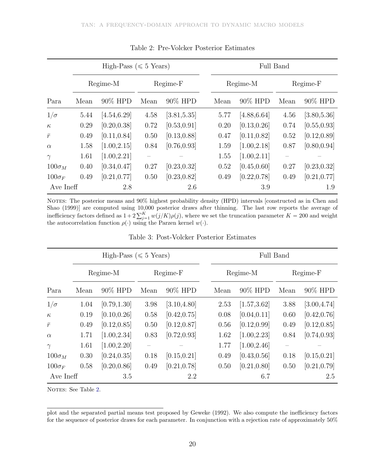|                  | High-Pass ( $\leq 5$ Years) |              |            |              |  | Full Band |              |          |              |  |  |
|------------------|-----------------------------|--------------|------------|--------------|--|-----------|--------------|----------|--------------|--|--|
|                  | Regime-M                    |              | $Regime-F$ |              |  | Regime-M  |              | Regime-F |              |  |  |
| Para             | Mean                        | 90% HPD      | Mean       | 90% HPD      |  | Mean      | 90% HPD      | Mean     | 90% HPD      |  |  |
| $1/\sigma$       | 5.44                        | [4.54, 6.29] | 4.58       | [3.81, 5.35] |  | 5.77      | [4.88, 6.64] | 4.56     | [3.80, 5.36] |  |  |
| $\kappa$         | 0.29                        | [0.20, 0.38] | 0.72       | [0.53, 0.91] |  | 0.20      | [0.13, 0.26] | 0.74     | [0.55, 0.93] |  |  |
| $\bar{r}$        | 0.49                        | [0.11, 0.84] | 0.50       | [0.13, 0.88] |  | 0.47      | [0.11, 0.82] | 0.52     | [0.12, 0.89] |  |  |
| $\alpha$         | 1.58                        | [1.00, 2.15] | 0.84       | [0.76, 0.93] |  | 1.59      | [1.00, 2.18] | 0.87     | [0.80, 0.94] |  |  |
| $\gamma$         | 1.61                        | [1.00, 2.21] |            |              |  | 1.55      | [1.00, 2.11] |          |              |  |  |
| $100\sigma_M$    | 0.40                        | [0.34, 0.47] | 0.27       | [0.23, 0.32] |  | 0.52      | [0.45, 0.60] | 0.27     | [0.23, 0.32] |  |  |
| $100\sigma_F$    | 0.49                        | [0.21, 0.77] | 0.50       | [0.23, 0.82] |  | 0.49      | [0.22, 0.78] | 0.49     | [0.21, 0.77] |  |  |
| Ave Ineff<br>2.8 |                             |              | 2.6        |              |  | 3.9       | 1.9          |          |              |  |  |

Table 2: Pre-Volcker Posterior Estimates

NOTES: The posterior means and  $90\%$  highest probability density (HPD) intervals [constructed as in Chen and Shao (1999)] are computed using 10,000 posterior draws after thinning. The last row reports the average of inefficiency factors defined as  $1+2\sum_{j=1}^{K} w(j/K)\rho(j)$ , where we set the truncation parameter  $K = 200$  and weight the autocorrelation function  $\rho(\cdot)$  using the Parzen kernel  $w(\cdot)$ .

|               | High-Pass ( $\leq 5$ Years) |              |                   |              | Full Band |              |          |              |  |
|---------------|-----------------------------|--------------|-------------------|--------------|-----------|--------------|----------|--------------|--|
|               | Regime-M                    |              | Regime-F          |              | Regime-M  |              | Regime-F |              |  |
| Para          | Mean                        | 90% HPD      | Mean              | 90% HPD      | Mean      | 90% HPD      | Mean     | 90% HPD      |  |
| $1/\sigma$    | 1.04                        | [0.79, 1.30] | 3.98              | [3.10, 4.80] | 2.53      | [1.57, 3.62] | 3.88     | [3.00, 4.74] |  |
| $\kappa$      | 0.19                        | [0.10, 0.26] | 0.58              | [0.42, 0.75] | 0.08      | [0.04, 0.11] | 0.60     | [0.42, 0.76] |  |
| $\bar{r}$     | 0.49                        | [0.12, 0.85] | 0.50              | [0.12, 0.87] | 0.56      | [0.12, 0.99] | 0.49     | [0.12, 0.85] |  |
| $\alpha$      | 1.71                        | [1.00, 2.34] | 0.83              | [0.72, 0.93] | 1.62      | [1.00, 2.23] | 0.84     | [0.74, 0.93] |  |
| $\gamma$      | 1.61                        | [1.00, 2.20] | $\qquad \qquad -$ |              | 1.77      | [1.00, 2.46] |          |              |  |
| $100\sigma_M$ | 0.30                        | [0.24, 0.35] | 0.18              | [0.15, 0.21] | 0.49      | [0.43, 0.56] | 0.18     | [0.15, 0.21] |  |
| $100\sigma_F$ | 0.58                        | [0.20, 0.86] | 0.49              | [0.21, 0.78] | 0.50      | [0.21, 0.80] | 0.50     | [0.21, 0.79] |  |
| Ave Ineff     |                             | 3.5          |                   | 2.2          |           | 6.7          |          | 2.5          |  |

Table 3: Post-Volcker Posterior Estimates

NOTES: See Table 2.

plot and the separated partial means test proposed by Geweke (1992). We also compute the inefficiency factors for the sequence of posterior draws for each parameter. In conjunction with a rejection rate of approximately 50%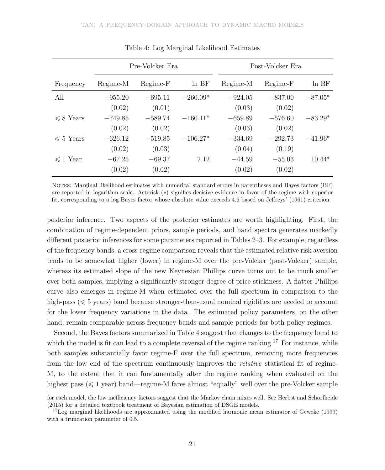|                |           | Pre-Volcker Era |            | Post-Volcker Era |           |           |  |
|----------------|-----------|-----------------|------------|------------------|-----------|-----------|--|
| Frequency      | Regime-M  | Regime-F        | $ln$ BF    | Regime-M         | Regime-F  | $ln$ BF   |  |
| All            | $-955.20$ | $-695.11$       | $-260.09*$ | $-924.05$        | $-837.00$ | $-87.05*$ |  |
|                | (0.02)    | (0.01)          |            | (0.03)           | (0.02)    |           |  |
| $\leq 8$ Years | $-749.85$ | $-589.74$       | $-160.11*$ | $-659.89$        | $-576.60$ | $-83.29*$ |  |
|                | (0.02)    | (0.02)          |            | (0.03)           | (0.02)    |           |  |
| $\leq 5$ Years | $-626.12$ | $-519.85$       | $-106.27*$ | $-334.69$        | $-292.73$ | $-41.96*$ |  |
|                | (0.02)    | (0.03)          |            | (0.04)           | (0.19)    |           |  |
| $\leq 1$ Year  | $-67.25$  | $-69.37$        | 2.12       | $-44.59$         | $-55.03$  | $10.44*$  |  |
|                | (0.02)    | (0.02)          |            | (0.02)           | (0.02)    |           |  |

Table 4: Log Marginal Likelihood Estimates

NOTES: Marginal likelihood estimates with numerical standard errors in parentheses and Bayes factors (BF) are reported in logarithm scale. Asterisk (\*) signifies decisive evidence in favor of the regime with superior fit, corresponding to a log Bayes factor whose absolute value exceeds 4.6 based on Jeffreys' (1961) criterion.

posterior inference. Two aspects of the posterior estimates are worth highlighting. First, the combination of regime-dependent priors, sample periods, and band spectra generates markedly different posterior inferences for some parameters reported in Tables 2–3. For example, regardless of the frequency bands, a cross-regime comparison reveals that the estimated relative risk aversion tends to be somewhat higher (lower) in regime-M over the pre-Volcker (post-Volcker) sample, whereas its estimated slope of the new Keynesian Phillips curve turns out to be much smaller over both samples, implying a significantly stronger degree of price stickiness. A flatter Phillips curve also emerges in regime-M when estimated over the full spectrum in comparison to the high-pass ( $\leq 5$  years) band because stronger-than-usual nominal rigidities are needed to account for the lower frequency variations in the data. The estimated policy parameters, on the other hand, remain comparable across frequency bands and sample periods for both policy regimes.

Second, the Bayes factors summarized in Table 4 suggest that changes to the frequency band to which the model is fit can lead to a complete reversal of the regime ranking.<sup>17</sup> For instance, while both samples substantially favor regime-F over the full spectrum, removing more frequencies from the low end of the spectrum continuously improves the relative statistical fit of regime-M, to the extent that it can fundamentally alter the regime ranking when evaluated on the highest pass ( $\leq 1$  year) band—regime-M fares almost "equally" well over the pre-Volcker sample

for each model, the low inefficiency factors suggest that the Markov chain mixes well. See Herbst and Schorfheide (2015) for a detailed textbook treatment of Bayesian estimation of DSGE models.

<sup>&</sup>lt;sup>17</sup>Log marginal likelihoods are approximated using the modified harmonic mean estimator of Geweke (1999) with a truncation parameter of 0.5.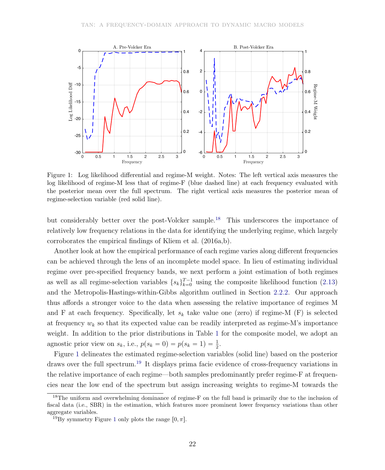

Figure 1: Log likelihood differential and regime-M weight. Notes: The left vertical axis measures the log likelihood of regime-M less that of regime-F (blue dashed line) at each frequency evaluated with the posterior mean over the full spectrum. The right vertical axis measures the posterior mean of regime-selection variable (red solid line).

but considerably better over the post-Volcker sample.<sup>18</sup> This underscores the importance of relatively low frequency relations in the data for identifying the underlying regime, which largely corroborates the empirical findings of Kliem et al. (2016a,b).

Another look at how the empirical performance of each regime varies along different frequencies can be achieved through the lens of an incomplete model space. In lieu of estimating individual regime over pre-specified frequency bands, we next perform a joint estimation of both regimes as well as all regime-selection variables  $\{s_k\}_{k=0}^{T-1}$  $\frac{T-1}{k=0}$  using the composite likelihood function (2.13) and the Metropolis-Hastings-within-Gibbs algorithm outlined in Section 2.2.2. Our approach thus affords a stronger voice to the data when assessing the relative importance of regimes M and F at each frequency. Specifically, let  $s_k$  take value one (zero) if regime-M (F) is selected at frequency  $w_k$  so that its expected value can be readily interpreted as regime-M's importance weight. In addition to the prior distributions in Table 1 for the composite model, we adopt an agnostic prior view on  $s_k$ , i.e.,  $p(s_k = 0) = p(s_k = 1) = \frac{1}{2}$ .

Figure 1 delineates the estimated regime-selection variables (solid line) based on the posterior draws over the full spectrum.<sup>19</sup> It displays prima facie evidence of cross-frequency variations in the relative importance of each regime—both samples predominantly prefer regime-F at frequencies near the low end of the spectrum but assign increasing weights to regime-M towards the

<sup>&</sup>lt;sup>18</sup>The uniform and overwhelming dominance of regime-F on the full band is primarily due to the inclusion of fiscal data (i.e., SBR) in the estimation, which features more prominent lower frequency variations than other aggregate variables.

<sup>&</sup>lt;sup>19</sup>By symmetry Figure 1 only plots the range  $[0, \pi]$ .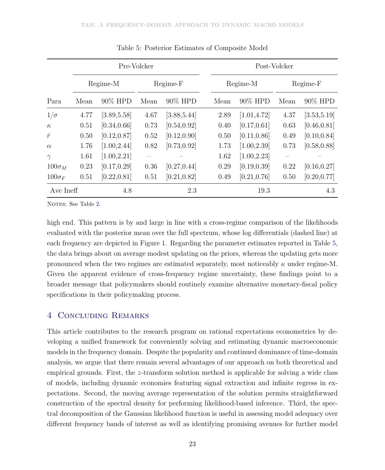|               | Pre-Volcker |              |                   |              |      | Post-Volcker |              |                 |              |  |  |
|---------------|-------------|--------------|-------------------|--------------|------|--------------|--------------|-----------------|--------------|--|--|
|               | Regime-M    |              | Regime-F          |              |      | Regime-M     |              |                 | Regime-F     |  |  |
| Para          | Mean        | 90% HPD      | Mean              | 90% HPD      | Mean |              | 90% HPD      | Mean            | 90% HPD      |  |  |
| $1/\sigma$    | 4.77        | [3.89, 5.58] | 4.67              | [3.88, 5.44] | 2.89 |              | [1.01, 4.72] | 4.37            | [3.53, 5.19] |  |  |
| $\kappa$      | 0.51        | [0.34, 0.66] | 0.73              | [0.54, 0.92] | 0.40 |              | [0.17, 0.61] | 0.63            | [0.46, 0.81] |  |  |
| $\bar{r}$     | 0.50        | [0.12, 0.87] | 0.52              | [0.12, 0.90] | 0.50 |              | [0.11, 0.86] | 0.49            | [0.10, 0.84] |  |  |
| $\alpha$      | 1.76        | [1.00, 2.44] | 0.82              | [0.73, 0.92] | 1.73 |              | [1.00, 2.39] | 0.73            | [0.58, 0.88] |  |  |
| $\gamma$      | 1.61        | [1.00, 2.21] | $\qquad \qquad -$ |              | 1.62 |              | [1.00, 2.23] | $\qquad \qquad$ |              |  |  |
| $100\sigma_M$ | 0.23        | [0.17, 0.29] | 0.36              | [0.27, 0.44] | 0.29 |              | [0.19, 0.39] | 0.22            | [0.16, 0.27] |  |  |
| $100\sigma_F$ | 0.51        | [0.22, 0.81] | 0.51              | [0.21, 0.82] | 0.49 |              | [0.21, 0.76] | 0.50            | [0.20, 0.77] |  |  |
| Ave Ineff     |             | 4.8          |                   | 2.3          |      |              | 19.3         |                 | 4.3          |  |  |

Table 5: Posterior Estimates of Composite Model

NOTES: See Table 2.

high end. This pattern is by and large in line with a cross-regime comparison of the likelihoods evaluated with the posterior mean over the full spectrum, whose log differentials (dashed line) at each frequency are depicted in Figure 1. Regarding the parameter estimates reported in Table 5, the data brings about on average modest updating on the priors, whereas the updating gets more pronounced when the two regimes are estimated separately, most noticeably  $\kappa$  under regime-M. Given the apparent evidence of cross-frequency regime uncertainty, these findings point to a broader message that policymakers should routinely examine alternative monetary-fiscal policy specifications in their policymaking process.

# 4 Concluding Remarks

This article contributes to the research program on rational expectations econometrics by developing a unified framework for conveniently solving and estimating dynamic macroeconomic models in the frequency domain. Despite the popularity and continued dominance of time-domain analysis, we argue that there remain several advantages of our approach on both theoretical and empirical grounds. First, the z-transform solution method is applicable for solving a wide class of models, including dynamic economies featuring signal extraction and infinite regress in expectations. Second, the moving average representation of the solution permits straightforward construction of the spectral density for performing likelihood-based inference. Third, the spectral decomposition of the Gaussian likelihood function is useful in assessing model adequacy over different frequency bands of interest as well as identifying promising avenues for further model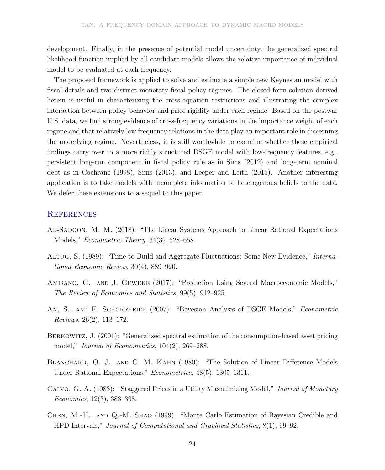development. Finally, in the presence of potential model uncertainty, the generalized spectral likelihood function implied by all candidate models allows the relative importance of individual model to be evaluated at each frequency.

The proposed framework is applied to solve and estimate a simple new Keynesian model with fiscal details and two distinct monetary-fiscal policy regimes. The closed-form solution derived herein is useful in characterizing the cross-equation restrictions and illustrating the complex interaction between policy behavior and price rigidity under each regime. Based on the postwar U.S. data, we find strong evidence of cross-frequency variations in the importance weight of each regime and that relatively low frequency relations in the data play an important role in discerning the underlying regime. Nevertheless, it is still worthwhile to examine whether these empirical findings carry over to a more richly structured DSGE model with low-frequency features, e.g., persistent long-run component in fiscal policy rule as in Sims (2012) and long-term nominal debt as in Cochrane (1998), Sims (2013), and Leeper and Leith (2015). Another interesting application is to take models with incomplete information or heterogenous beliefs to the data. We defer these extensions to a sequel to this paper.

#### **REFERENCES**

- AL-SADOON, M. M. (2018): "The Linear Systems Approach to Linear Rational Expectations Models," *Econometric Theory*, 34(3), 628–658.
- Altug, S. (1989): "Time-to-Build and Aggregate Fluctuations: Some New Evidence," International Economic Review, 30(4), 889–920.
- Amisano, G., and J. Geweke (2017): "Prediction Using Several Macroeconomic Models," The Review of Economics and Statistics, 99(5), 912–925.
- AN, S., AND F. SCHORFHEIDE (2007): "Bayesian Analysis of DSGE Models," *Econometric* Reviews, 26(2), 113–172.
- BERKOWITZ, J. (2001): "Generalized spectral estimation of the consumption-based asset pricing model," Journal of Econometrics, 104(2), 269–288.
- BLANCHARD, O. J., AND C. M. KAHN (1980): "The Solution of Linear Difference Models Under Rational Expectations," Econometrica, 48(5), 1305–1311.
- Calvo, G. A. (1983): "Staggered Prices in a Utility Maxmimizing Model," Journal of Monetary Economics, 12(3), 383–398.
- Chen, M.-H., and Q.-M. Shao (1999): "Monte Carlo Estimation of Bayesian Credible and HPD Intervals," Journal of Computational and Graphical Statistics, 8(1), 69–92.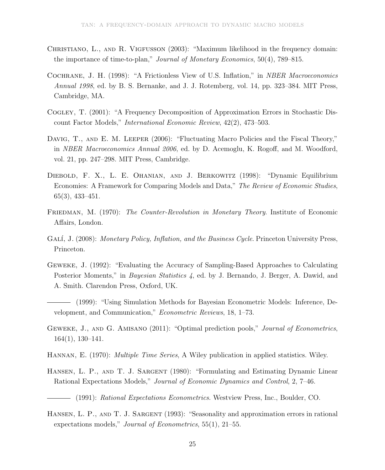- CHRISTIANO, L., AND R. VIGFUSSON (2003): "Maximum likelihood in the frequency domain: the importance of time-to-plan," Journal of Monetary Economics, 50(4), 789–815.
- Cochrane, J. H. (1998): "A Frictionless View of U.S. Inflation," in NBER Macroeconomics Annual 1998, ed. by B. S. Bernanke, and J. J. Rotemberg, vol. 14, pp. 323–384. MIT Press, Cambridge, MA.
- Cogley, T. (2001): "A Frequency Decomposition of Approximation Errors in Stochastic Discount Factor Models," International Economic Review, 42(2), 473–503.
- DAVIG, T., AND E. M. LEEPER (2006): "Fluctuating Macro Policies and the Fiscal Theory," in NBER Macroeconomics Annual 2006, ed. by D. Acemoglu, K. Rogoff, and M. Woodford, vol. 21, pp. 247–298. MIT Press, Cambridge.
- Diebold, F. X., L. E. Ohanian, and J. Berkowitz (1998): "Dynamic Equilibrium Economies: A Framework for Comparing Models and Data," The Review of Economic Studies, 65(3), 433–451.
- FRIEDMAN, M. (1970): The Counter-Revolution in Monetary Theory. Institute of Economic Affairs, London.
- GALÍ, J. (2008): Monetary Policy, Inflation, and the Business Cycle. Princeton University Press, Princeton.
- Geweke, J. (1992): "Evaluating the Accuracy of Sampling-Based Approaches to Calculating Posterior Moments," in *Bayesian Statistics 4*, ed. by J. Bernando, J. Berger, A. Dawid, and A. Smith. Clarendon Press, Oxford, UK.
- (1999): "Using Simulation Methods for Bayesian Econometric Models: Inference, Development, and Communication," Econometric Reviews, 18, 1–73.
- GEWEKE, J., AND G. AMISANO (2011): "Optimal prediction pools," *Journal of Econometrics*, 164(1), 130–141.
- HANNAN, E. (1970): *Multiple Time Series*, A Wiley publication in applied statistics. Wiley.
- HANSEN, L. P., AND T. J. SARGENT (1980): "Formulating and Estimating Dynamic Linear Rational Expectations Models," Journal of Economic Dynamics and Control, 2, 7–46.
	- (1991): Rational Expectations Econometrics. Westview Press, Inc., Boulder, CO.
- HANSEN, L. P., AND T. J. SARGENT (1993): "Seasonality and approximation errors in rational expectations models," *Journal of Econometrics*, 55(1), 21–55.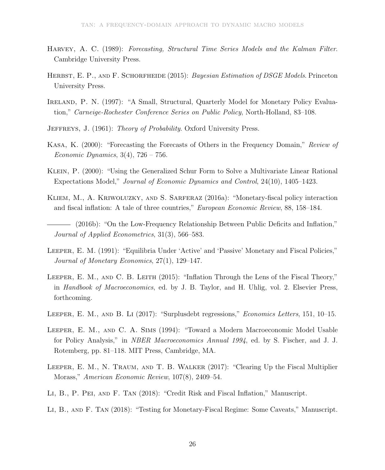- Harvey, A. C. (1989): Forecasting, Structural Time Series Models and the Kalman Filter. Cambridge University Press.
- HERBST, E. P., AND F. SCHORFHEIDE (2015): Bayesian Estimation of DSGE Models. Princeton University Press.
- IRELAND, P. N. (1997): "A Small, Structural, Quarterly Model for Monetary Policy Evaluation," Carneige-Rochester Conference Series on Public Policy, North-Holland, 83–108.
- JEFFREYS, J. (1961): Theory of Probability. Oxford University Press.
- Kasa, K. (2000): "Forecasting the Forecasts of Others in the Frequency Domain," Review of Economic Dynamics,  $3(4)$ ,  $726 - 756$ .
- Klein, P. (2000): "Using the Generalized Schur Form to Solve a Multivariate Linear Rational Expectations Model," Journal of Economic Dynamics and Control, 24(10), 1405–1423.
- Kliem, M., A. Kriwoluzky, and S. Sarferaz (2016a): "Monetary-fiscal policy interaction and fiscal inflation: A tale of three countries," European Economic Review, 88, 158–184.
- (2016b): "On the Low-Frequency Relationship Between Public Deficits and Inflation," Journal of Applied Econometrics, 31(3), 566–583.
- Leeper, E. M. (1991): "Equilibria Under 'Active' and 'Passive' Monetary and Fiscal Policies," Journal of Monetary Economics, 27(1), 129–147.
- LEEPER, E. M., AND C. B. LEITH (2015): "Inflation Through the Lens of the Fiscal Theory," in Handbook of Macroeconomics, ed. by J. B. Taylor, and H. Uhlig, vol. 2. Elsevier Press, forthcoming.
- Leeper, E. M., and B. Li (2017): "Surplusdebt regressions," Economics Letters, 151, 10–15.
- Leeper, E. M., and C. A. Sims (1994): "Toward a Modern Macroeconomic Model Usable for Policy Analysis," in NBER Macroeconomics Annual 1994, ed. by S. Fischer, and J. J. Rotemberg, pp. 81–118. MIT Press, Cambridge, MA.
- Leeper, E. M., N. Traum, and T. B. Walker (2017): "Clearing Up the Fiscal Multiplier Morass," American Economic Review, 107(8), 2409–54.
- Li, B., P. Pei, and F. Tan (2018): "Credit Risk and Fiscal Inflation," Manuscript.
- Li, B., and F. Tan (2018): "Testing for Monetary-Fiscal Regime: Some Caveats," Manuscript.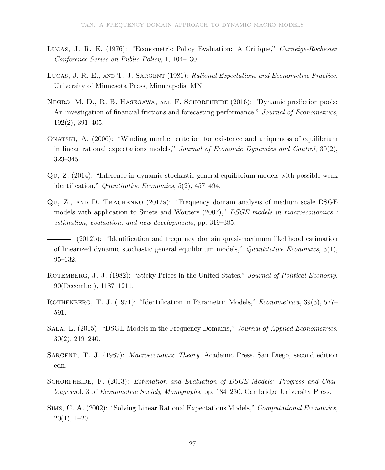- Lucas, J. R. E. (1976): "Econometric Policy Evaluation: A Critique," Carneige-Rochester Conference Series on Public Policy, 1, 104–130.
- LUCAS, J. R. E., AND T. J. SARGENT (1981): Rational Expectations and Econometric Practice. University of Minnesota Press, Minneapolis, MN.
- Negro, M. D., R. B. Hasegawa, and F. Schorfheide (2016): "Dynamic prediction pools: An investigation of financial frictions and forecasting performance," Journal of Econometrics, 192(2), 391–405.
- Onatski, A. (2006): "Winding number criterion for existence and uniqueness of equilibrium in linear rational expectations models," Journal of Economic Dynamics and Control,  $30(2)$ , 323–345.
- Qu, Z. (2014): "Inference in dynamic stochastic general equilibrium models with possible weak identification," Quantitative Economics, 5(2), 457–494.
- Qu, Z., and D. Tkachenko (2012a): "Frequency domain analysis of medium scale DSGE models with application to Smets and Wouters (2007)," *DSGE models in macroeconomics*: estimation, evaluation, and new developments, pp. 319–385.
- (2012b): "Identification and frequency domain quasi-maximum likelihood estimation of linearized dynamic stochastic general equilibrium models," Quantitative Economics, 3(1), 95–132.
- ROTEMBERG, J. J. (1982): "Sticky Prices in the United States," Journal of Political Economy, 90(December), 1187–1211.
- ROTHENBERG, T. J. (1971): "Identification in Parametric Models," *Econometrica*, 39(3), 577– 591.
- Sala, L. (2015): "DSGE Models in the Frequency Domains," Journal of Applied Econometrics, 30(2), 219–240.
- Sargent, T. J. (1987): Macroeconomic Theory. Academic Press, San Diego, second edition edn.
- SCHORFHEIDE, F. (2013): *Estimation and Evaluation of DSGE Models: Progress and Chal*lengesvol. 3 of Econometric Society Monographs, pp. 184–230. Cambridge University Press.
- Sims, C. A. (2002): "Solving Linear Rational Expectations Models," Computational Economics,  $20(1), 1-20.$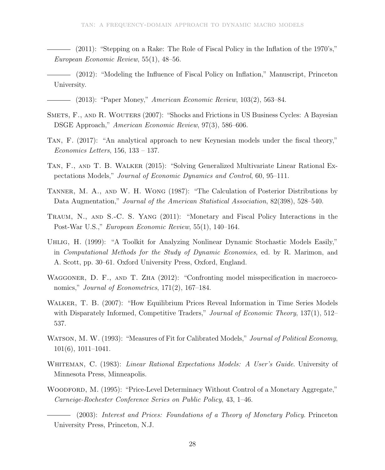(2011): "Stepping on a Rake: The Role of Fiscal Policy in the Inflation of the 1970's," European Economic Review, 55(1), 48–56.

(2012): "Modeling the Influence of Fiscal Policy on Inflation," Manuscript, Princeton University.

- $-$  (2013): "Paper Money," *American Economic Review*, 103(2), 563–84.
- SMETS, F., AND R. WOUTERS (2007): "Shocks and Frictions in US Business Cycles: A Bayesian DSGE Approach," American Economic Review, 97(3), 586–606.
- Tan, F. (2017): "An analytical approach to new Keynesian models under the fiscal theory," Economics Letters, 156, 133 – 137.
- Tan, F., and T. B. Walker (2015): "Solving Generalized Multivariate Linear Rational Expectations Models," Journal of Economic Dynamics and Control, 60, 95–111.
- Tanner, M. A., and W. H. Wong (1987): "The Calculation of Posterior Distributions by Data Augmentation," *Journal of the American Statistical Association*, 82(398), 528–540.
- Traum, N., and S.-C. S. Yang (2011): "Monetary and Fiscal Policy Interactions in the Post-War U.S.," European Economic Review, 55(1), 140–164.
- Uhlig, H. (1999): "A Toolkit for Analyzing Nonlinear Dynamic Stochastic Models Easily," in Computational Methods for the Study of Dynamic Economies, ed. by R. Marimon, and A. Scott, pp. 30–61. Oxford University Press, Oxford, England.
- WAGGONER, D. F., AND T. ZHA (2012): "Confronting model misspecification in macroeconomics," *Journal of Econometrics*, 171(2), 167–184.
- Walker, T. B. (2007): "How Equilibrium Prices Reveal Information in Time Series Models with Disparately Informed, Competitive Traders," Journal of Economic Theory, 137(1), 512-537.
- WATSON, M. W. (1993): "Measures of Fit for Calibrated Models," Journal of Political Economy, 101(6), 1011–1041.
- WHITEMAN, C. (1983): *Linear Rational Expectations Models: A User's Guide*. University of Minnesota Press, Minneapolis.
- WOODFORD, M. (1995): "Price-Level Determinacy Without Control of a Monetary Aggregate," Carneige-Rochester Conference Series on Public Policy, 43, 1–46.

(2003): Interest and Prices: Foundations of a Theory of Monetary Policy. Princeton University Press, Princeton, N.J.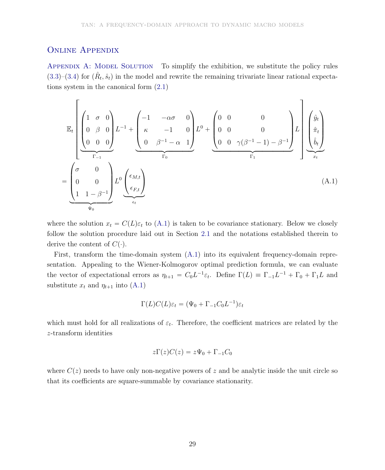## Online Appendix

APPENDIX A: MODEL SOLUTION To simplify the exhibition, we substitute the policy rules  $(3.3)$ – $(3.4)$  for  $(\hat{R}_t, \hat{s}_t)$  in the model and rewrite the remaining trivariate linear rational expectations system in the canonical form (2.1)

$$
\mathbb{E}_{t}\left[\begin{pmatrix} 1 & \sigma & 0 \\ 0 & \beta & 0 \\ 0 & 0 & 0 \end{pmatrix} L^{-1} + \begin{pmatrix} -1 & -\alpha\sigma & 0 \\ \kappa & -1 & 0 \\ 0 & \beta^{-1} - \alpha & 1 \end{pmatrix} L^{0} + \begin{pmatrix} 0 & 0 & 0 \\ 0 & 0 & 0 \\ 0 & 0 & \gamma(\beta^{-1} - 1) - \beta^{-1} \end{pmatrix} L \right] \begin{pmatrix} \hat{y}_{t} \\ \hat{\pi}_{t} \\ \hat{b}_{t} \end{pmatrix}
$$

$$
= \begin{pmatrix} \sigma & 0 \\ 0 & 0 \\ 1 & 1 - \beta^{-1} \end{pmatrix} L^{0} \underbrace{\begin{pmatrix} \epsilon_{M,t} \\ \epsilon_{F,t} \end{pmatrix}}_{\epsilon_{t}} \right]
$$
(A.1)

where the solution  $x_t = C(L)\varepsilon_t$  to (A.1) is taken to be covariance stationary. Below we closely follow the solution procedure laid out in Section 2.1 and the notations established therein to derive the content of  $C(\cdot)$ .

First, transform the time-domain system (A.1) into its equivalent frequency-domain representation. Appealing to the Wiener-Kolmogorov optimal prediction formula, we can evaluate the vector of expectational errors as  $\eta_{t+1} = C_0 L^{-1} \varepsilon_t$ . Define  $\Gamma(L) \equiv \Gamma_{-1} L^{-1} + \Gamma_0 + \Gamma_1 L$  and substitute  $x_t$  and  $\eta_{t+1}$  into (A.1)

$$
\Gamma(L)C(L)\varepsilon_t = (\Psi_0 + \Gamma_{-1}C_0L^{-1})\varepsilon_t
$$

which must hold for all realizations of  $\varepsilon_t$ . Therefore, the coefficient matrices are related by the z-transform identities

$$
z\Gamma(z)C(z)=z\Psi_0+\Gamma_{-1}C_0
$$

where  $C(z)$  needs to have only non-negative powers of z and be analytic inside the unit circle so that its coefficients are square-summable by covariance stationarity.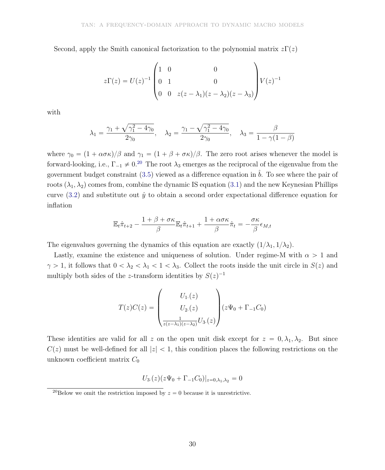Second, apply the Smith canonical factorization to the polynomial matrix  $z\Gamma(z)$ 

$$
z\Gamma(z) = U(z)^{-1} \begin{pmatrix} 1 & 0 & 0 \\ 0 & 1 & 0 \\ 0 & 0 & z(z - \lambda_1)(z - \lambda_2)(z - \lambda_3) \end{pmatrix} V(z)^{-1}
$$

with

$$
\lambda_1=\frac{\gamma_1+\sqrt{\gamma_1^2-4\gamma_0}}{2\gamma_0},\quad \lambda_2=\frac{\gamma_1-\sqrt{\gamma_1^2-4\gamma_0}}{2\gamma_0},\quad \lambda_3=\frac{\beta}{1-\gamma(1-\beta)}
$$

where  $\gamma_0 = (1 + \alpha \sigma \kappa)/\beta$  and  $\gamma_1 = (1 + \beta + \sigma \kappa)/\beta$ . The zero root arises whenever the model is forward-looking, i.e.,  $\Gamma_{-1} \neq 0^{20}$  The root  $\lambda_3$  emerges as the reciprocal of the eigenvalue from the government budget constraint (3.5) viewed as a difference equation in  $\hat{b}$ . To see where the pair of roots  $(\lambda_1, \lambda_2)$  comes from, combine the dynamic IS equation (3.1) and the new Keynesian Phillips curve  $(3.2)$  and substitute out  $\hat{y}$  to obtain a second order expectational difference equation for inflation

$$
\mathbb{E}_t \hat{\pi}_{t+2} - \frac{1 + \beta + \sigma \kappa}{\beta} \mathbb{E}_t \hat{\pi}_{t+1} + \frac{1 + \alpha \sigma \kappa}{\beta} \hat{\pi}_t = -\frac{\sigma \kappa}{\beta} \epsilon_{M,t}
$$

The eigenvalues governing the dynamics of this equation are exactly  $(1/\lambda_1, 1/\lambda_2)$ .

Lastly, examine the existence and uniqueness of solution. Under regime-M with  $\alpha > 1$  and  $\gamma > 1$ , it follows that  $0 < \lambda_2 < \lambda_1 < 1 < \lambda_3$ . Collect the roots inside the unit circle in  $S(z)$  and multiply both sides of the z-transform identities by  $S(z)^{-1}$ 

$$
T(z)C(z) = \begin{pmatrix} U_{1.}(z) \\ U_{2.}(z) \\ \frac{1}{z(z-\lambda_{1})(z-\lambda_{2})}U_{3.}(z) \end{pmatrix} (z\Psi_{0} + \Gamma_{-1}C_{0})
$$

These identities are valid for all z on the open unit disk except for  $z = 0, \lambda_1, \lambda_2$ . But since  $C(z)$  must be well-defined for all  $|z| < 1$ , this condition places the following restrictions on the unknown coefficient matrix  $C_0$ 

$$
U_3(z)(z\Psi_0 + \Gamma_{-1}C_0)|_{z=0,\lambda_1,\lambda_2} = 0
$$

<sup>&</sup>lt;sup>20</sup>Below we omit the restriction imposed by  $z = 0$  because it is unrestrictive.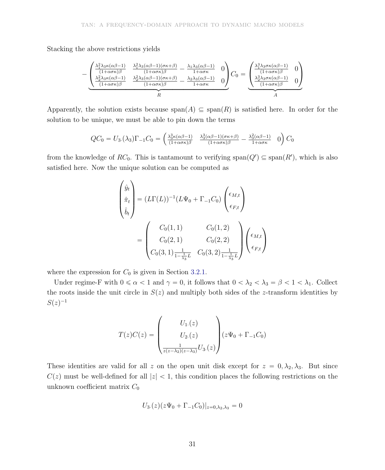Stacking the above restrictions yields

$$
-\underbrace{\begin{pmatrix} \frac{\lambda_1^2 \lambda_3 \kappa(\alpha \beta - 1)}{(1 + \alpha \sigma \kappa)\beta} & \frac{\lambda_1^2 \lambda_3(\alpha \beta - 1)(\sigma \kappa + \beta)}{(1 + \alpha \sigma \kappa)\beta} - \frac{\lambda_1 \lambda_3(\alpha \beta - 1)}{1 + \alpha \sigma \kappa} & 0\\ \frac{\lambda_2^2 \lambda_3 \kappa(\alpha \beta - 1)}{(1 + \alpha \sigma \kappa)\beta} & \frac{\lambda_2^2 \lambda_3(\alpha \beta - 1)(\sigma \kappa + \beta)}{(1 + \alpha \sigma \kappa)\beta} - \frac{\lambda_2 \lambda_3(\alpha \beta - 1)}{1 + \alpha \sigma \kappa} & 0 \end{pmatrix}}_{R} C_0 = \underbrace{\begin{pmatrix} \frac{\lambda_1^3 \lambda_3 \sigma \kappa(\alpha \beta - 1)}{(1 + \alpha \sigma \kappa)\beta} & 0\\ \frac{\lambda_2^3 \lambda_3 \sigma \kappa(\alpha \beta - 1)}{(1 + \alpha \sigma \kappa)\beta} & 0\\ \frac{\lambda_3^3 \lambda_3 \sigma \kappa(\alpha \beta - 1)}{(1 + \alpha \sigma \kappa)\beta} & 0 \end{pmatrix}}_{A}
$$

Apparently, the solution exists because  $\text{span}(A) \subseteq \text{span}(R)$  is satisfied here. In order for the solution to be unique, we must be able to pin down the terms

$$
QC_0 = U_3.(\lambda_3)\Gamma_{-1}C_0 = \begin{pmatrix} \frac{\lambda_3^3 \kappa(\alpha \beta - 1)}{(1 + \alpha \sigma \kappa)\beta} & \frac{\lambda_3^3(\alpha \beta - 1)(\sigma \kappa + \beta)}{(1 + \alpha \sigma \kappa)\beta} - \frac{\lambda_3^2(\alpha \beta - 1)}{1 + \alpha \sigma \kappa} & 0 \end{pmatrix} C_0
$$

from the knowledge of  $RC_0$ . This is tantamount to verifying  $\text{span}(Q') \subseteq \text{span}(R')$ , which is also satisfied here. Now the unique solution can be computed as

$$
\begin{pmatrix}\n\hat{y}_t \\
\hat{\pi}_t \\
\hat{b}_t\n\end{pmatrix} = (L\Gamma(L))^{-1} (L\Psi_0 + \Gamma_{-1}C_0) \begin{pmatrix}\n\epsilon_{M,t} \\
\epsilon_{F,t}\n\end{pmatrix}
$$
\n
$$
= \begin{pmatrix}\nC_0(1,1) & C_0(1,2) \\
C_0(2,1) & C_0(2,2) \\
C_0(3,1) \frac{1}{1-\frac{1}{\lambda_3}L} & C_0(3,2) \frac{1}{1-\frac{1}{\lambda_3}L}\n\end{pmatrix} \begin{pmatrix}\n\epsilon_{M,t} \\
\epsilon_{F,t}\n\end{pmatrix}
$$

where the expression for  $C_0$  is given in Section 3.2.1.

Under regime-F with  $0 \le \alpha < 1$  and  $\gamma = 0$ , it follows that  $0 < \lambda_2 < \lambda_3 = \beta < 1 < \lambda_1$ . Collect the roots inside the unit circle in  $S(z)$  and multiply both sides of the z-transform identities by  $S(z)^{-1}$ 

$$
T(z)C(z) = \begin{pmatrix} U_{1.}(z) \\ U_{2.}(z) \\ \frac{1}{z(z-\lambda_{2})(z-\lambda_{3})}U_{3.}(z) \end{pmatrix} (z\Psi_{0} + \Gamma_{-1}C_{0})
$$

These identities are valid for all z on the open unit disk except for  $z = 0, \lambda_2, \lambda_3$ . But since  $C(z)$  must be well-defined for all  $|z| < 1$ , this condition places the following restrictions on the unknown coefficient matrix  $C_0$ 

$$
U_3(z)(z\Psi_0 + \Gamma_{-1}C_0)|_{z=0,\lambda_2,\lambda_3} = 0
$$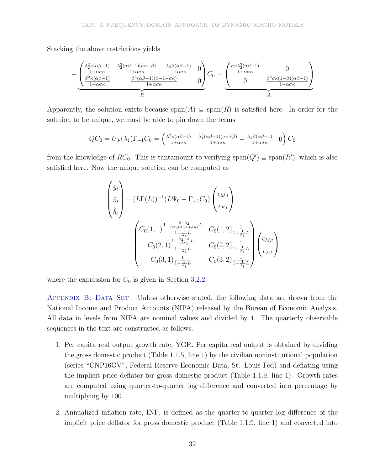Stacking the above restrictions yields

$$
-\underbrace{\begin{pmatrix} \frac{\lambda_2^2 \kappa(\alpha \beta - 1)}{1 + \alpha \sigma \kappa} & \frac{\lambda_2^2(\alpha \beta - 1)(\sigma \kappa + \beta)}{1 + \alpha \sigma \kappa} - \frac{\lambda_2 \beta(\alpha \beta - 1)}{1 + \alpha \sigma \kappa} & 0\\ \frac{\beta^2 \kappa(\alpha \beta - 1)}{1 + \alpha \sigma \kappa} & \frac{\beta^2(\alpha \beta - 1)(\beta - 1 + \sigma \kappa)}{1 + \alpha \sigma \kappa} & 0 \end{pmatrix}}_{R} C_0 = \underbrace{\begin{pmatrix} \frac{\sigma \kappa \lambda_2^3(\alpha \beta - 1)}{1 + \alpha \sigma \kappa} & 0\\ 0 & \frac{\beta^2 \sigma \kappa(1 - \beta)(\alpha \beta - 1)}{1 + \alpha \sigma \kappa} \end{pmatrix}}_{A}
$$

Apparently, the solution exists because  $\text{span}(A) \subseteq \text{span}(R)$  is satisfied here. In order for the solution to be unique, we must be able to pin down the terms

$$
QC_0 = U_3.(\lambda_1)\Gamma_{-1}C_0 = \begin{pmatrix} \frac{\lambda_1^2 \kappa(\alpha \beta - 1)}{1 + \alpha \sigma \kappa} & \frac{\lambda_1^2(\alpha \beta - 1)(\sigma \kappa + \beta)}{1 + \alpha \sigma \kappa} - \frac{\lambda_1 \beta(\alpha \beta - 1)}{1 + \alpha \sigma \kappa} & 0 \end{pmatrix} C_0
$$

from the knowledge of  $RC_0$ . This is tantamount to verifying  $\text{span}(Q') \subseteq \text{span}(R')$ , which is also satisfied here. Now the unique solution can be computed as

$$
\begin{pmatrix}\n\hat{y}_t \\
\hat{\pi}_t \\
\hat{b}_t\n\end{pmatrix} = (L\Gamma(L))^{-1} (L\Psi_0 + \Gamma_{-1}C_0) \begin{pmatrix}\n\epsilon_{M,t} \\
\epsilon_{F,t}\n\end{pmatrix}
$$
\n
$$
= \begin{pmatrix}\nC_0(1,1) \frac{1 - \frac{\beta - \lambda_2}{\beta \lambda_2 (\beta - 1 + \sigma \kappa)}}{1 - \frac{1}{\lambda_1} L} & C_0(1,2) \frac{1}{1 - \frac{1}{\lambda_1} L} \\
C_0(2,1) \frac{1 - \frac{\lambda_2 - \beta}{\beta \lambda_2} L}{1 - \frac{1}{\lambda_1} L} & C_0(2,2) \frac{1}{1 - \frac{1}{\lambda_1} L} \\
C_0(3,1) \frac{1}{1 - \frac{1}{\lambda_1} L} & C_0(3,2) \frac{1}{1 - \frac{1}{\lambda_1} L}\n\end{pmatrix}\n\begin{pmatrix}\n\epsilon_{M,t} \\
\epsilon_{F,t}\n\end{pmatrix}
$$

where the expression for  $C_0$  is given in Section 3.2.2.

APPENDIX B: DATA SET Unless otherwise stated, the following data are drawn from the National Income and Product Accounts (NIPA) released by the Bureau of Economic Analysis. All data in levels from NIPA are nominal values and divided by 4. The quarterly observable sequences in the text are constructed as follows.

- 1. Per capita real output growth rate, YGR. Per capita real output is obtained by dividing the gross domestic product (Table 1.1.5, line 1) by the civilian noninstitutional population (series "CNP16OV", Federal Reserve Economic Data, St. Louis Fed) and deflating using the implicit price deflator for gross domestic product (Table 1.1.9, line 1). Growth rates are computed using quarter-to-quarter log difference and converted into percentage by multiplying by 100.
- 2. Annualized inflation rate, INF, is defined as the quarter-to-quarter log difference of the implicit price deflator for gross domestic product (Table 1.1.9, line 1) and converted into